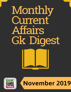# Monthly Current Affairs Gk Digest



## November 2019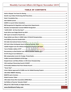### **TABLE OF CONTENTS**

| $\mathbf{1}$<br>www.BankExamsToday.com |  |
|----------------------------------------|--|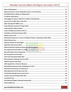| 2019 World Conference on Access to Medical Products: Achieving the SDGs 2030 37 |
|---------------------------------------------------------------------------------|
|                                                                                 |
|                                                                                 |
|                                                                                 |
|                                                                                 |
|                                                                                 |
|                                                                                 |
|                                                                                 |
|                                                                                 |
|                                                                                 |
|                                                                                 |
|                                                                                 |
|                                                                                 |
|                                                                                 |
|                                                                                 |
|                                                                                 |
|                                                                                 |
|                                                                                 |
|                                                                                 |
|                                                                                 |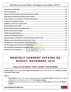### MONTHLY CURRENT AFFAIRS GK DIGEST: NOVEMBER 2019

#### GOLD IN OLYMPIC TEST EVENT FOR BOXING

<span id="page-4-0"></span>**Current context:** Indian pugilists **Shiva Thapa and Pooja Rani** clinched gold medals at the **Olympic Test Event for Boxing in Tokyo, Japan.**

#### **ABOUT**

- **Shiva Thapa** is the four-time Asian medallist and outpunched **Sanatali Toltayev**, Kazakhstan's national champion and Asian bronze-winner by 5-0 in **63 kilogram category.**
- **Pooja Rani,** Former Asian Games bronze-medallist edged past **Caitlin Parker** of Australia in **75-kilogram category.**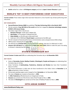<span id="page-5-0"></span>**Ashish** settled for a silver in **69 kilogram category** and lost to **Japan's Sewon Okazawa** in gold.

### WORLD"S TOP 10 BEST-PERFORMING CHIEF EXECUTIVES

**Current context:** Three Indian-origin CEOs have been featured in a list of world's top 10 best-performing chief executives.

#### **KEY HIGHLIGHTS**

- **Harvard Business Review (HBR)** has published **'The Best-Performing CEOs in the World, 2019'.**
- The list consists of **top 100 CEOs of the world** and the list is topped by **American technology company NVIDIA's CEO Jensen Huang.**
- The Indian-origin CEOs in the list are:
	- 1. **Shantanu Narayen** at 6th spot is Adobe CEO
	- 2. **Ajay Banga** at 7th position is MasterCard CEO
	- 3. **Satya Nadella** on the 9th spot is Microsoft chief
	- 4. India-born CEO of DBS Bank **Piyush Gupta** is positioned at the 89th spot
- The list is based on financial performance, environmental, social, and governance (ESG) ratings.
- HBR has been releasing the list **since 2015.**
- The 2019 list has **4 female CEOs** in the top half of the rankings, that was 3 in 2018 and 2 in 2017.
- <span id="page-5-1"></span> **Amazon CEO Jeff Bezos** has topped the list **every year since 2014,** failed to make this year's list owing to Amazon's relatively low ESG scores.

### STATE"S FOUNDATION DAY

**Current Context: 6 states and 3 UTs** are celebrating their formation day on **1st November 2019.**

#### **KEY FACTS**

- States of **Karnataka, Kerala, Madhya Pradesh, Chhattisgarh, Punjab and Haryana** are celebrating their formation day on 1st Nov.
- Union Territories of **Lakshwadeep, Puducherry, Andaman and Nicobar** also have their Foundation Days on 1st Nov.
- The French possessions in India were de facto transferred to the Indian Union on **November 1, in 1954** and became a Union Territory.
- All Kannada speaking regions were merged to form **Karnataka** on 1st November **1956.**
- The state of **Kerala** was created on November 1, **1956.**
- **In 1963, Puducherry** officially became an integral part of India.
- **Haryana** was carved out of the former state of East Punjab on Nov 1, **1966.**
- <span id="page-5-2"></span>The state of **Chhattisgarh** was carved out of the state of Madhya Pradesh on Nov 1, **2000.**

#### 35TH ASEAN SUMMIT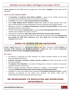**Current context:** The 35th ASEAN Summit has begun from 31st October in **Bangkok** and will continue till 4th November.

#### **FACTS OF 35TH ASEAN SUMMIT**

- The **Association of Southeast Asian Nations (ASEAN)** is a group of ten member countries that encourages social, political and economic co-operation in the region.
- The **theme** of the summit is **"Advancing Partnership for Sustainability".**
- Head of **Eight dialogue partner countries** including India, republic of Korea, Australia, USA, China, Japan, and New Zealand are also participating in the summit along with the 10 ASEAN countries.
- Negotiations related to the **Regional Comprehensive Economic Partnership (RCEP)** including market opening will take place at the meeting.
- The RCEP was launched in **November 2012,** is a proposed **free trade agreement( FTA)** between the ten members state of ASEAN and its partner countries.
- Trade partners of ASEAN are **India, China, Japan, South Korea, Australia and New Zealand.**
- <span id="page-6-0"></span> Prime Minister Modi will attend the Meet from 2nd to 4th Nov and will release the **commemorative coin marking the 550th birth anniversary of Sri Guru Nanak Dev Ji** and **Thai translation of Tirukkural** (Tamil classic).

### DARPG TO LAUNCH ONLINE HACKATHON

**Current context:** Department of Administrative Reforms and Public Grievances (DARPG), **Ministry of Personnel, Public Grievances and Pensions** is to launch a nation-wide online Hackathon **'Data-driven Innovation for Citizen Grievance Redressal'** on 5th November 2019.

#### **KEY FACTS**

- The Ministry is conducting the online Hackathon for inviting innovative solutions for the Citizen Grievance Redressal Mechanism.
- **Corporate, innovators, researchers, student, start-ups, academia** and other communities can take part in the Hackathon.
- The **objective of the Hackathon** is to provide technology driven solutions to improve the grievance redressal mechanism in the country.
- Potential solution prototypes would be selected for adoption in the innovative practices for improving **CPGRAMS (Centralized Public Grievance Redress and Monitoring System).**
- CPGRAMS is an online web-enabled system developed by **NIC (National Informatics Centre),** to enable submission of grievances by the citizens from anywhere and anytime (24x7) basis to Ministries/Departments/Organizations/State Governments.

### <span id="page-6-1"></span>RBI REORGANISED ITS REGULATION AND SUPERVISION DEPARTMENTS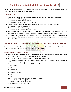**Current context:** Reserve Bank of India has reorganised the regulatory and supervisory Departments and has created **separate supervisory and regulatory cadre.**

#### **KEY HIGHLIGHTS**

- Currently, the **Supervision of financial sector entities** is undertaken in 3 separate categories:
	- 1. Department of Banking Supervision
	- 2. Department of Non-Banking Supervision
	- 3. Department of Co-operative Bank Supervision
- Similarly, the **Regulation of financial sector entities** is undertaken in 3 separate categories:
	- 1. Department of Banking Regulation
	- 2. Department of Non-Banking Regulation
	- 3. Department of Cooperative Banking Regulation
- RBI has now adopted a holistic approach to **supervision and regulation** of the regulated entities to address growing complexities, size and inter-connectedness and to deal with potential systemic risk.
- The supervision function for all financial entities is integrated into a unified **Department of Supervision** and the regulatory functions into a unified **Department of Regulation** with effect from 1st November 2019.

### <span id="page-7-0"></span>MUMBAI AND HYDERABAD RECEIVED UNESCO DESIGNATION

**Current context:** UNESCO has designated **Mumbai** as a member of **UNESCO Creative Cities Network (UCCN)** in the field of **FILM** and **Hyderabad** in the field of **GASTRONOMY.**

#### **ABOUT CREATIVE CITIES NETWORK**

- **UNESCO Creative Cities Network (UCCN) was created in 2004** and represents a network of cities that are active centres of cultural activities in their respective countries.
- Presently, there are total **246 cities** inducted into UCCN around the world.
- The **objective** of including cities into UCCN is to place creativity and the creative economy at the core of their urban development plans.
- **The 7 categories for recognition under UCCN are as follows-**
	- 1. Gastronomy
	- 2. Music
	- 3. Media Arts
	- 4. Literature
	- 5. Crafts and Folk Arts
	- 6. Design
	- 7. Film
- Earlier, **3 Indian cities** were recognized as members of UCCN:
	- 1. Jaipur-Crafts and Folk Arts(2015)
	- 2. Varanasi-Creative city of Music (2015)
	- 3. Chennai-Creative city of Music(2017)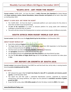#### "ECAPA 2019 - ART FROM THE HEART"

<span id="page-8-0"></span>**Current context:** "eCAPA 2019 - Art from the Heart" is **India's first-ever Arts Exposition** for Artists blessed with **Down syndrome, Autism, Mental Retardation, Seizure Disorder and Dyslexia** will be held in New Delhi on 2nd November 2019.

#### **ABOUT 'E-CAPA 2019- ART FROM THE HEART'**

- The "eCAPA 2019 Art from the Heart" a nationwide platform cum social venture for the artists to show their art (both visual and performing).
- The **aim of the exposition** is to create an exclusive platform for young adults with intellectual challenges to showcase their art talents.
- <span id="page-8-1"></span>The event will also connect the Divyang artists to mentors and eminent masters of different arts/crafts.

### SOUTH AFRICA WON RUGBY WORLD CUP 2019

**Current context:** South Africa won the **Rugby World Cup for the 3rd time** on 2nd November 2019.

#### **ABOUT RUGBY WORLD CUP**

- **South Africa defeated England in the world cup final by 2-12.**
- The Rugby World Cup 2019 was held in YOKOHAMA, Japan from 20th September to 2nd November across 12 venues all across the country.
- The final match was held at **International Stadium Yokohama** in Yokohama.
- The **Springboks** claimed the Cup for the first time since 2007.
- The Springboks became the **second team after New Zealand** to win three World Cup titles.
- <span id="page-8-2"></span> This was the **9th edition of Rugby World Cup** and for the **1st time,** the tournament has taken place in **Asia.**

### IMF REPORT ON GROWTH OF SOUTH ASIA

**Current context:** International Monetary Fund (IMF) has said that South Asia, led by India, is moving towards becoming **centre of global growth by 2040.**

#### **KEY FACTS**

- IMF released the paper titled **'Is South Asia Ready for take-off? A sustainable and inclusive growth agenda,'** on 4th November 2019.
- The report has said that under a substantial liberalisation scenario, supported by improved infrastructure and young workforce, the region has the potential to **contribute one-third of global growth by 2040.**
- As per the IMF survey, about **150 million people** will enter the labour market by **2030** in the region.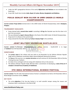- Under the IMF's geographical division of the world, **Afghanistan and Pakistan** are not included in the South Asia.
- <span id="page-9-0"></span>As per IMF, South Asia includes **India, Nepal, Sri Lanka, Bhutan, Bangladesh and Maldives.**

### POOJA GEHLOT WON SILVER IN UWW UNDER-23 WORLD CHAMPIONSHIPS

**Current context: Pooja Gehlot** clinched silver in the UWW Under-23 World Championships, held in **Budapest, Hungary.**

#### **TOURNAMENT HIGHLIGHTS**

- Pooja claimed India's **second silver medal** in wrestling in **53 kg** after Ravinder won the first silver in 61 kg in the tournament.
- She was defeated by **Japan's Haruna Okuno** in the finals of the UWW Under-23 World Championships.
- Pooja lost 0-2 to Okuno in the summit clash.
- <span id="page-9-1"></span>Pooja entered the final after defeating **Turkey's Zeynep Yetgil** in the semifinals.

### JOINT MILITARY EXCERCISE DUSTLIK-2019

**Current context:** The **first-ever India-Uzbekistan** joint military exercise - Dustlik-2019 is to begin at **Tashkent** from 4th November 2019.

#### **SIGNIFICANCE**

- The **curtain raiser** of the military drill was held on 3rd November by the Defence Minister Rajnath Singh and his Uzbekistan counterpart Major General Bakhodir Nizamovich Kurbanov.
- The **focus** of the exercise is on **counter-terrorism** and will continue till 13th November 2019 at Chirchiq Training Area near Tashkent.
- An Indian Army contingent will train along with Uzbekistan Army in the exercise.
- <span id="page-9-2"></span> The Defence Minister Rajnath Singh affirmed India's commitment of developing a **state-of-the-art IT complex in Armed Forces Academy of Uzbekistan.**

### 5TH INDIA INTERNATIONAL SCIENCE FESTIVAL

**Current context:** The 5th India International Science Festival is scheduled to be held on 5th November 2019 at Biswa Bangla Convention Centre, **Kolkata.**

#### **KEY FACTS**

 The prime **objective** of the four-day festival is to instil scientific temper among the masses and showcase India's contribution in the field of S&T.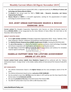- The India International Science Festival (IISF) 2019, is organized jointly by the **Ministry of science and technology and Vijnana Bharati (Vibha).**
- The **theme** of this annual event for 2019 is **"RISEN India – Research, Innovation, and Science Empowering the Nation".**
- <span id="page-10-0"></span> **Vijnana Bharati or VIBHA** is a non-profit organisation, working for the popularization of modern technology & ancient Sciences in India.

### SCO JOINT URBAN EARTHQUAKE SEARCH & RESCUE EXERCISE- 2019

**Current context:** The Shanghai Cooperation Organization Joint Exercise on Urban Earthquake Search & Rescue **(SCOJtEx-2019)** is to be inaugurated by the Union Minister of Home Affairs Shri Amit Shah on 4th November 2019 at New Delhi.

#### **ABOUT SCOJTEX-2019**

- All the **eight member countries** of Shanghai Cooperation Organization (SCO) Russia, Tajikistan, China, India, Kyrgyzstan, Pakistan, Uzbekistan and Kazakhstan shall participate in the exercise.
- The **National Disaster Response Force (NDRF), Government of India** is hosting the (SCOJTEX)-2019.
- The **aim of the exercise** is to rehearse the disaster response mechanism, share technology, Knowledge and enhance cooperation with multi-agency participation in earthquake scenario.
- <span id="page-10-1"></span> The **main focus** of (SCOJTEX)-2019 is to test the region's preparedness and resilience for immediate response against earthquake.

### ISABELLE HUPPERT WON THE LIFETIME ACHIEVEMENT AWARD AT IFFI 2019

**Current context: French actress Isabelle Anne Madeleine Huppert** will be conferred with the "Lifetime Achievement Award – Foreign Artiste" at the Golden Jubilee edition of International Film Festival of India (IFFI) 2019.

#### **KEY HIGHLIGHTS**

- The Lifetime Achievement Award is the **highest honour** and the most prestigious award of the IFFI event.
- The Lifetime Achievement Award carries a **cash prize of INR 10,000,00/-.**
- She has worked in more than **120 films** since her debut in 1971 and has won the César Award for Best Actress twice, for **La Cérémonie and Elle.**
- She was the **president of the Jury** at the 62nd Cannes Film Festival 2009.
- The 50th IFFI will be held in Goa from 20th to 28th November 2019.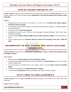### "ICON OF GOLDEN JUBILEE OF IFFI"

<span id="page-11-0"></span>**Current context:** A special award constituted by the Government of India for **the first time** titled 'Icon of Golden Jubilee of IFFI' will be conferred upon **S Rajinikanth at the 50th International Film Festival of India (IFFI) 2019.**

#### **ABOUT**

- Rajinikanth got his first break in the movies as a small role in the **Kannada film Katha Sangama, directed by Puttanna Kanagal.**
- The carpenter-turned-porter-turned-bus conductor-turned-superstar belongs to a Marathi-speaking family of Karnataka.
- His original name is **Shivaji Rao Gaekwad.**
- Rajinikanth has acted in over 170 films in many languages, including Malayalam, Hindi, Tamil, Telgu, Kannada, and Bengali.
- He was honoured **Padma Bhushan (2000) and the Padma Vibhushan (2016)** by the Government of India.
- He was conferred with the **"Centenary Award for Indian Film Personality of the Year"** at **45th IFFI 2014.**

### <span id="page-11-1"></span>DOCUMENTARY ON REAL KASHMIR WON 'BAFTA SCOTLAND' AWARDS 2019

**Current context:** A documentary on **Real Kashmir Football Club** has bagged the **BAFTA and Scotland Awards at Glasgow, Scotland.**

#### **KEY POINTS**

- BAFTA stands for **British Academy of Film and Television Awards.**
- The documentary depicted the journey of former Rangers ace **David Robertson** as the coach of Real Kashmir Football Club.
- In its first season, FC finished third in the I-League, which is currently **India's second tier football league.**
- The film won the award in the **'Single Documentary' category.**
- <span id="page-11-2"></span>It was directed by **Greg Clarke** and was nominated in the 'Director-Factual' category.

### GV-971 DRUG TO CURE ALZHEIMER'S

**Current context:** China has approved **GV-971** (home-grown drug) to be launched in the market from 29th December.

#### **ABOUT GV-971 DRUG**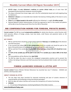- **GV-971 drug** is the **only Alzheimer's medicine to survive clinical trials**, out of more than 320 developed by pharmaceutical companies around the globe.
- The drug is extracted from brown algae, and is the first carbohydrate-based and multi-targeting drug for Alzheimer's.
- **Alzheimer's disease** is an irreversible brain disorder that destroys thinking ability of the brain to carry out simple tasks.
- **China** has the **highest people in the world** suffering from Alzheimer's, roughly **10 million people.**
- National Medical Products Administration of China has approved to sale it in the market and patients will be able to buy the drug around China from the 29th of December.

### <span id="page-12-0"></span>RBI COMPENSATION NORMS FOR FOREIGN, PRIVATE BANKS

**Current context:** The RBI has issued **compensation guidelines** for whole-time directors, control function staff, chief executive officers of foreign, private, local area banks, small finance and payments banks on 4th November 2019.

#### **KEY POINTS**

- RBI has said that there should be a proper balance between **fixed pay** and **variable pay** of the directors and chief executives.
- It has ensured that atleast **50% of the compensation** should be variable and should be paid on the basis of the performance of the individual, business-unit and firm-wide measures.
- RBI has said that if the variable pay is **up to 200% of the fixed pay, at least 50% of it should be in noncash.**
- And **67% of the variable pay will be paid in non-cash,** if the **variable pay is above 200% of the fixed pay.**
- The new guidelines will be effective from **April 2020.**
- <span id="page-12-1"></span> The RBI has taken the step to correct the misaligned compensation practices and to prevent the reckless risk-taking of directors and Chief executives that has burdened India's lenders with record bad loans.

### FINMIN LAUNCHED ICEDASH & ATITHI APP

**Current context:** Finance Minister Nirmala Sitharaman has launched two new IT Initiatives - ICEDASH and ATITHI on 4th November 2019.

#### **ABOUT ICEDASH & ATITHI**

- The two Apps have been launched for improved monitoring and pace of customs clearance of imported goods and facilitating arriving international passengers.
- Both the apps will reduce interface and increase the transparency of Customs functioning.
- **ICEDASH:**
	- 1. It is an Ease of Doing Business monitoring dashboard of the Indian Customs.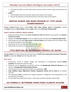- 2. It will help the public to see the daily Customs clearance times of import cargo at various ports and airports.
- **ATITHI:**
	- 1. It will facilitate hassle-free and faster clearance by Customs at the airports.
	- 2. Enhance the experience of international tourists and other visitors at the airports.

### <span id="page-13-0"></span>DEEPAK KUMAR AND MANU BHAKER AT 14TH ASIAN CHAMPIONSHIPS

**Current context:** Deepak Kumar claimed **India's 10th Tokyo Olympic quota in shooting** by winning the **bronze** medal and **Manu Bhaker** claimed a **gold** medal at the **14th Asian Championships.**

#### **ABOUT DEEPAK KUMAR & MANU BHAKER**

- Deepak secured the bronze in the **men's 10 metres air rifle** while Bhaker secured gold in the **women's 10 metres air pistol.**
- Deepak is the **2nd Indian shooter** to earn an Olympic quota in the event after **Divyansh Singh Panwar.**
- India already has secured **9 Tokyo quotas in rifle and pistol** and lies behind China (25 quotas), Korea (12 quotas) and Japan in the Asian region.
- Deepak shot 227.8 in the eight-man final to win the medal.
- <span id="page-13-1"></span>Manu Bhaker shot 244.3 to win the top prize in her event.

### 15TH MEETING OF GOVERNING COUNCIL OF SACEP

**Current context:** The 15th meeting of Governing Council of **South Asia Co-operative Environment Programme (SACEP)** is to be held in **Dhaka** from 6th November 2019.

#### **KEY FACTS**

- Environment, Forest & Climate Change and Information & Broadcasting Minister **Prakash Javadekar** will attend the meet from India.
- During the visit to Bangladesh, the Minister will also visit **Bangabandhu Memorial Museum** to pay respects to **Bangabandhu Sheikh Mujibur Rahman.**
- The inter-governmental organization SACEP was established in **1982.**
- **India, Maldives, Nepal, Afghanistan, Pakistan, Bangladesh, Bhutan and Sri Lanka** are its member countries.
- The organization **aims** to promote and support protection, management and enhancement of the environment in the region.
- <span id="page-13-2"></span>The last SACEP Governing Council meet i.e. 14th meet was held in Colombo in March 2018.

#### US FORMALLY WITHDREW FROM PARIS CLIMATE ACCORD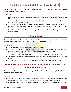**Current context:** The US has formally notified the United Nations that it was withdrawing from the **Paris climate accord** on 4th November 2019.

#### **KEY POINTS**

- Secretary of State Mike Pompeo said that the agreement imposed an unfair economic burden on the US.
- As per the notification, a one-year process of exiting the global climate change accord will culminate the day after the 2020 US election.
- The **Paris accord** is an agreement signed by 188 nations in **2015** and entered into force on 4th November 2016 to keep rising global temperatures **below 2 Celsius** above pre-industrial levels and limit them to **1.5 Celsius rise.**
- <span id="page-14-0"></span> The US contributes about **15%** of the total global carbon emissions, the **2nd biggest emitter** of greenhouse gases.

#### "HUNAR HAAT"

**Current context:** The formal inauguration of "Hunar Haat" was made by the Union **Minister for Minority Affairs Mukhtar Abbas Naqvi** at Prayagraj in Uttar Pradesh on 2nd November 2019.

#### **HIGHLIGHTS**

- The "Hunar Haat" (Talent Hub) will continue till 10th of November.
- The "Hunar Haat" provides employment opportunities through skill development to the traditional artisans, craftsmen and traditional culinary experts as per the needs of the market.
- It is an exhibition of handicrafts and traditional products made by artisans and minority communities.
- All the "Hunar Haat" of 2019-2020 will be based on the **theme of "Ek Bharat Shrestha Bharat".**
- The ministry has announced to organize about 100 "Hunar Haat" in different parts of the country in the next 5 years.
- The next "Hunar Haat" will take place between 14 to 27 November at Pragati Maidan in Delhi.

### <span id="page-14-1"></span>UNION CABINET APPROVED RS 25,000 CRORE FOR STALLED HOUSING PROJECTS

**Current context:** The union cabinet in its meeting on 6th November has decided to set up **Rs 25,000 fund to revive stalled housing projects.**

#### **KEY FACTS**

- The fund is being provided to complete a set of unfinished projects due to non-availability of the fund to developers, and consequently ensure delivery of homes to a large number of home-buyers.
- It will finance over **1,600 stalled housing projects** that comprise **4.58 lakh housing units** across the country.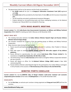- The government shall act as the sponsor and the funds are provided as:
	- o **Rs 10,000 crore** will be put in as **Category-II Alternative Investment Fund (AIF)** registered with **SEBI.**
	- o **Rs 15,000 crore** will be provided by the State Bank of India (**SBI**) and Life Insurance Corporation (**LIC**).
	- o The AIF would be entrusted to professional Investment Managers.
	- o Projects declared as non-performing assets and those undergoing insolvency at the National Company Law Tribunal (NCLT) are included for financing.

#### 19TH IRIGC-M&MTC MEETING

<span id="page-15-0"></span>**Current context:** The 19th **India-Russia Inter-Governmental Commission on Military and Military-Technical Cooperation** (IRIGC-M&MTC) meeting was held in Moscow on 6th November 2019.

#### **ABOUT IRIGC-MTC**

- The meeting took place between the **Indian Defence Minister Rajnath Singh and Russian Defence Minister General Sergey Shoigu.**
- The ministers reviewed the progress of the two working groups on Military and Military-Technical Cooperation.
- Major decisions taken during the meet include:
	- 1. Russia assured participation in **DefExpo 2020**, to be held in Lucknow, Uttar Pradesh in February 2020.
	- **2.** Both sides agree to constitute **specific working groups for after-sales support of key defence platforms.**
	- 3. Russia affirmed to operationalise the joint venture **lndo-Russia Rifles Private Limited** for the manufacture of **world-class Kalashnikov AK 203 rifles in India.**
	- 4. The forthcoming TriService **Indra Exercises** will be held to strengthen Military Cooperation between the two countries.
	- 5. Russia will depute an officer for the **National Defence College (NDC) course** in New Delhi commencing 2020.
	- **6.** Russian Defence Minister asked Rajnath Singh for the participation of an Indian Military Contingent in Army Parade on the occasion of **75th Anniversary of the victory in the 2nd World War.**

#### BIMSTEC PORTS CONCLAVE

<span id="page-15-1"></span>**Current context:** The two-day **BIMSTEC (Bay of Bengal initiative multi-sector technical and economic cooperation) ports Conclave** will be held at **Visakhapatnam** on 7th and 8th November 2019.

#### **HIGHLIGHTS**

 For the **first time**, an exclusive port conclave is being organised and **Vizag port trust (VPT)** will host the conclave.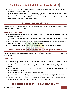- The conclave will discuss and share measures to increase ports productivity, develop free trade zones, tourism and investment opportunities.
- **BIMSTEC was formed in 1997** with the cooperation of **seven member countries** including **India, Myanmar, Nepal, Bhutan, Srilanka, Bangladesh and Thailand.**
- <span id="page-16-0"></span> Union minister of shipping **Mansukh Mandaviya** will inaugurate the Conclave and will attend the event besides the chairmen of all 12 major ports in India.

### GLOBAL INVESTORS' MEET

**Current context:** Prime Minister Narendra Modi inaugurated the two-day **Himachal Pradesh Global investors' meet in Dharamshala,** Himachal Pradesh.

#### **GLOBAL INVESTOR'S MEET**

- Himachal Pradesh government is organising the event to **attract investment and create employment opportunities** in the state.
- The state will showcase the policy and regulatory environment investment scope across the **eight focus sectors.**
- Himachal Pradesh Global investors' meet **'Rising Himachal'** will be attended by ambassadors from 16 countries, 209 foreign delegates along with local entrepreneurs.
- <span id="page-16-1"></span>The State government has set a target of signing pacts worth **Rs 85,000 crore** during the event.

### 19TH INDIAN OCEAN RIM ASSOCIATION (IORA) MEET

**Current context:** The 19th Indian Ocean Rim Association (IORA) Meeting has begun from 7th November 2019 at **Abu Dhabi.**

#### **HIGHLIGHTS**

- **V Muraleedharan,** Minister of State in the External Affairs Ministry has participated in the event representing India.
- The **theme** of this year meeting is **"Promoting a Shared Destiny and Path to Prosperity in the Indian Ocean."**
- During this meet, the IORA Chairmanship will be given to the **United Arab Emirates** from **South Africa,** for a two year period till 2021.
- IORA was founded in **1997** and is headquartered at Mauritius.
- It is an inter-governmental organisation with **22 member states** as well as **nine dialogue partners.**
- It seeks to promote sustained growth and balanced development within the Indian Ocean region.
- <span id="page-16-2"></span>• The Indian Ocean region's maritime trade accounts for around half of the world's container ships, onethird of the world's bulk cargo traffic and two-thirds of world oil shipments.

### 2ND EDITION OF EXERCISE "SAMUDRA SHAKTI"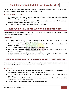**Current context:** The 2nd edition **Indian Navy – Indonesian Navy** Bilateral Maritime Exercise 'Samudra Shakti was conducted in the **Bay of Bengal** from 6th Nov to 7th Nov 2019.

#### **ABOUT EX- SAMUDRA SHAKTI**

- An Anti-Submarine Warfare Corvette, **INS Kamorta,** is jointly exercising with Indonesian Warship KRI **Usman Harun**, a multi-role Corvette.
- The joint exercises include Air Defence exercises, Weapon firing drills, manoeuvres, Surface Warfare exercises, Helicopter Operations and Boarding Operations.
- <span id="page-17-0"></span>The Harbour Phase which was conducted on 4th and 5th November.

### RBI PUT RS 5 LAKH PENALTY ON OXIGEN SERVICES

**Current context:** The Reserve Bank of India (RBI) has imposed a fine of **Rs 5 lakh** on prepaid payment instrument Oxigen Services (India) Private Limited.

#### **KEY POINTS**

- The penalty has been imposed for non-compliance of RBI's regulatory guidelines. However, it didn't mention the exact area it failed to comply with.
- The move was taken in exercise of powers vested under **Section 30 of the Payment and Settlement Systems Act, 2007.**
- The fine comes through a **speaking order dated 17th September 2019.**
- Oxigen Services is a **Prepaid Payment Instrument (PPI) issuer** and facilitates payment processing and money transfer services.
- **PPIs** are instruments that facilitate purchase of goods and services, including financial services, remittance facilities, etc., against the value stored on such instruments.

#### <span id="page-17-1"></span>DOCUMENTATION IDENTIFICATION NUMBER (DIN) SYSTEM

**Current context:** The Documentation Identification Number (DIN) system of **Central Board of Indirect Taxes and Customs (CBIC)** will come into existence from **8th November 2019.**

#### **ABOUT DIN**

- The step is aimed at bringing transparency and accountability in the **indirect tax administration** through the widespread use of information technology.
- The step is taken as per the direction of Union Minister for Finance and Corporate Affairs Nirmala Sitharaman.
- Now the **CBIC communication** will have to have a Documentation Identification Number and **No communication would be issued without DIN.**
- The DIN system is **already executed in the direct tax administration.**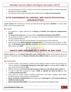- Any communication from GST or Custom or Central Excise department without a computer-generated DIN would be treated as **invalid.**
- <span id="page-18-0"></span>The DIN system will provide the taxpayer with a digital facility to **verify any communications.**

### 27TH CONFERENCE OF CENTRAL AND STATE STATISTICAL ORGANIZATIONS

**Current context:** 27th Conference of Central and State Statistical Organizations **(COCSSO)** is to held in New Delhi on 11th-12th November 2019.

#### **KEY FACTS**

- The conference is being organised by the **Ministry of Statistics and Programme Implementation (MoSPI).**
- The **theme of the conference** for the year 2019 is **"Sustainable Development Goals (SDGs)".**
- The conference provides a platform for discussion and improving coordination between the Central and State Statistical agencies.
- The aim is to fill the data gaps and improvement of timelines/quality in SDG monitoring.
- <span id="page-18-1"></span> MoSPI has developed **National Indicator Framework (NIF)** for monitoring country's progress on SDGs. Also, the **NIF Baseline Report 2015-16** is released by the ministry to set the benchmark for measuring SDGs progress up to **2030.**

### INDIA"S MMR DECLINED BY 8 POINTS IN ONE YEAR

**Current context:** As per the **Sample Registration System Bulletin-2016** released by the Registrar General of India on 7th November 2019, the **Maternal Mortality Ratio (MMR) of India** has declined by 8 points in one year.

#### **KEY HIGHLIGHTS**

- Dr Harsh Vardhan, Union Minister of Health & Family Welfare stated the report and said India is on track to achieving the **Sustainable Development Goal (SDG) target** for reducing MMR by **2025**, five years ahead of the timeline of **2030.**
- MMR has declined by **6.2% from 130/ lakh live births in 2014-16 to 122/ lakh live births in 2015-17.**
- 11 states in India have achieved the target of **MMR of 100/lakh Live Births by 2020** set under the **National Health Policy 2017.**
- These states are: Andhra Pradesh, Jharkhand, Maharashtra, Tamil Nadu, Telangana, West Bengal, Karnataka, Haryana, Kerala, Gujarat and Uttarakhand.
- **Kerala, Tamil Nadu and Maharashtra** have already met the **SDG target 3.1 of 70 maternal deaths per 100 000 live births by 2030.**
- **Maternal Mortality Ratio (MMR)** is the number of maternal deaths per 100,000 live birth.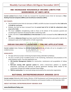### RBI INCREASED HOUSEHOLD INCOME LIMITS FOR BORROWERS OF NBFC-MFIS

<span id="page-19-0"></span>**Current context:** Reserve Bank of India has increased the household income limits for borrowers of **Non-Banking Financial Companies (NBFCs) and microfinance institutions (MFIs).**

#### **KEY POINTS**

- The household income limits for borrowers of NBFCs and MFIs has been increased from **Rs 1 lakh to Rs 1.25 lakh for rural areas.**
- Similarly, the limit has been increased from the **current level of Rs 1.6 lakh for urban/semi urban areas to Rs 2 lakh.**
- The move is **aimed** at strengthening credit to those at the bottom of the economic pyramid and considering the important role played by MFIs in delivering credit.
- Further, the limit on **total indebtedness of the borrower** has been increased from **Rs 1 lakh to Rs 1.25 lakh.**
- <span id="page-19-1"></span> The limits on **disbursal of loans** have been raised from Rs 60,000 for the first cycle and Rs 1 lakh for the subsequent cycles to Rs 75,000 and Rs 1.25 lakh respectively.

### INDIAN RAILWAYS LAUNCHED 3 ONLINE APPLICATIONS

**Current context:** Indian Railways has launched three applications for all-India roll out to strengthen its ITenabled services.

#### **HIGHLIGHTS**

- The apps will ensure proper monitoring of projects being undertaken by Railways.
- The aim is to beef up the IT-enabled services in the monitoring, maintenance and procedures of the Indian Railways system. The three applications are:
	- 1. **CRS Sanction Management System:** For construction, maintenance and up-gradation of railway assets.
	- 2. **Rail-road crossing GAD approval system:** For online e-Governance platform to expedite preparation, processing and approval of general agreement drawings (GAD) related to the construction of Road Over Bridges and Road Under Bridges.
	- 3. **TMS for construction:** For new assets being constructed by the construction organization.

### NATIONAL ENTREPRENEURSHIP AWARDS 2019

<span id="page-19-2"></span>**Current context:** Mahendra Nath Pandey, Minister of Skill Development and Entrepreneurship has conferred the National Entrepreneurship Awards 2019 to Enterprises and Ecosystem builders on 9th November 2019.

#### **ABOUT NATIONAL ENTREPRENEURSHIP AWARDS 2019**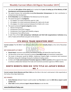- This was the **4th edition of the award** and it marked the **5 years of setting up of the Ministry of Skill Development and Entrepreneurship (2014).**
- The award honours the outstanding young **First-Generation Entrepreneurs**, for their contribution in entrepreneurship development.
- **Dr R A Mashelkar** was the **chairman** of the National Jury for the award.
- The award was given in **3 categories:**
	- 1. A1 category: For initial investments upto Rs 1 lakh
	- 2. A2 category: For initial investments between Rs 1 lakh to Rs 10 Lakh
	- 3. A3 category: For initial investment between Rs 10 lakh to Rs 1 crore
- The award contained **4 special categories** namely:
	- 1. Women Entrepreneur
	- 2. Entrepreneur from SC/ST Category
	- 3. Entrepreneur from People with Disability category
	- 4. Entrepreneur from difficult areas
- <span id="page-20-0"></span> A Cash Prize of Rs **5 lakh (enterprises/ individuals) and Rs10 lakh (organizations/ institutes)** along with a Trophy and Certificate was given to the winners.

### 9TH BRICS TRADE MINISTERS MEET

**Current context:** The 9th BRICS Trade Ministers Meet will be held in **Brasilia, Brazil**, on the 11th of November 2019.

#### **KEY HIGHLIGHTS AT MEET**

- **Piyush Goyal,** Commerce and Industry and Railway Minister will attend the meet from India.
- The discussion at the meet is focused to enhance **intra-BRICS trade** and investment cooperation.
- The issues in discussion would be MSMEs, Intellectual Property Right, e-commerce and investment facilitation along with challenges facing the multilateral trading system.
- An MoU with **Trade and Investment Promotion Agencies of BRICS countries** will be signed at the meet to enhance collaboration between the trade and investment promotion agencies of BRICS nations.

### <span id="page-20-1"></span>KENTO MOMOTA WON HIS 10TH TITLE AS JAPAN'S WORLD NO. 1

**Current context: Kento Momota and Chen Yufei** won the titles in the men's amd women's title respectively at the Fuzhou China Open Badminton.

#### **KEY POINTS**

- **Kento Momota** defeated Taiwan's world number two **Tien-chen** to won his **10th title as Japan's world number one.**
- **Chen Yufei** similarly defeated **Japan's Nozomi Okuhara** to win the title.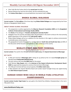- Chen Yufei lifts the Fuzhou title for the **second year in a row.**
- Nozomi Okuhara has now lost all six finals, she has contested this year.
- <span id="page-21-0"></span>The **Fuzhou China Open** is an annual badminton tournament held in **China.**

### DHAKA GLOBAL DIALOGUE

**Current context:** The **first edition** of the three days long **Dhaka Global Dialogue** was inaugurated by the Prime Minister of Bangladesh Sheikh Hasina.

#### **ABOUT DHAKA GLOBAL DIALOGUE**

- The programme is jointly organised by the **Observer Research Foundation (ORF)** and the **Bangladesh Institute of International and Strategic Studies (BIISS).**
- The **theme** of the dialogue is **"Growth, development and Indo-Pacific".**
- Delegates from 50 countries (Including India) will participate in the event to discuss the most pressing global imperatives in the context of the **Indo-pacific region.**
- Dhaka Global Dialogue will act as a platform for the countries in this region to achieve environmental sustainable peace and prosperity.
- <span id="page-21-1"></span> The geographical location Bangladesh is a bridge between **South Asia and South-East Asia** and 90% of the discussion will be focused on Bangladesh or ideas centering on the country.

### WORLD"S FIRST CNG PORT TERMINAL

**Current context:** The world's first CNG port terminal is approved by the **Gujarat Government at Bhavnagar.**

#### **KEY FACTS**

- A CNG port terminal at **Bhavnagar port** is being set up jointly by the U.K. based **Foresight group** and Mumbai based **Padmanabh Mafatlal group.**
- The joint venture will invest **Rs.1900 crore** for the project.
- Chief Minister **Vijay Rupani**, who is the **chairman of the Gujarat Infrastructure Development Board-GIDB** has approved the proposal to construct the terminal at Bhavnagar.
- The CNG port terminal will have annual capacity of **6 million matric tone.**
- <span id="page-21-2"></span> A MoU between the Gujarat Maritime Board and London based Foresight Group was signed during the **2019 Vibrant Gujarat summit.**

### SUNDAR SINGH WINS GOLD IN WORLD PARA ATHLETICS CHAMPIONSHIPS

**Current context: Sundar Singh Gurjar** has won gold at the World Para Athletics Championships in the men's F46 javelin throw.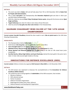#### **DETAILS**

- The event was held in **Dubai**, UAE and will take place from 7th to 15th November 2019 at **Dubai Club for People with Determination.**
- This is India's **2nd gold** in the Championship after **Devendra Jhajharia's** gold and silver in 2013 Lyon and 2015 Doha Championships.
- With this, India has secured **three Tokyo Paralympic Games quota**, along with the bronze winner **Ajeet Singh and Rinku.**
- **Yogesh Kathuniya** won silver for India in men's discus throw F56 event.
- <span id="page-22-0"></span>**India has presently two gold, two silver and a bronze** in the Championships.

### SAURABH CHAUDHARY WINS SILVER AT THE 14TH ASIAN CHAMPIONSHIP

**Current context: Saurabh Chaudhary** claimed the silver medal in men's **10m air pistol event** at the 14th Asian Shooting Championship.

#### **HIGHLIGHTS**

- The Championship is held at **Doha, Qatar.**
- North Korea's **Kim Song Guk**, won the **gold** with a world record 246.5.
- **Iran's Foroughi Javed** won the **bronze medal** at the event.
- **Abhishek Verma, Sharvan Kumar and Saurabh** won the **team bronze** for India.
- **Shreya Agrawal and Dhanush Srikanth** won the **gold** medal in the 10m air rifle mixed team junior competition.
- <span id="page-22-1"></span> **Gurnihal Garcha, Abhay Singh Sekhon and Ayush Rudraraju** claimed the team gold in the junior men's skeet. In total, India secured eight medals on the day.

### INNOVATIONS FOR DEFENCE EXCELLENCE (IDEX)

**Current context:** Defence ministry has organised **Def-Connect in New Delhi** on 11th November 2019.

#### **DETAILS**

- The Def-connect was organised to showcase the accomplishments of the **Innovations for Defence Excellence (iDEX) initiative.**
- The conference aims to bring together all **stakeholders** of the iDEX ecosystem, that includes:
	- 1. Ministry of defence
	- 2. iDEX selected startups
	- 3. Partner Incubators
	- 4. Defence Innovation Organisation
	- 5. Nodal agencies (Indian Army, Navy, Airforce)
	- 6. Defence Research and Development Organisation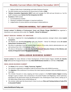- 7. Defence Public Sector Undertakings and Indian Ordnance Factories
- The iDEX initiative was launched by the Government of India in **2018.**
- **'Defence Innovation Organization (DIO)'** funds and manages the iDEX and was formed as a 'not for profit' company as per **Section 8 of the Companies Act 2013.**
- **Functions** of iDEX include:
	- 1. Co-Innovation/co-creation
	- 2. Piloting of candidate technologies in important platforms
	- 3. Indigenization of various defence and aerospace-related platforms

### "SWACHH-NIRMAL TAT ABHIYAAN"

<span id="page-23-0"></span>**Current context:** The **Ministry of Environment, Forest and Climate Change (MoEF&CC)** has organised a cleanliness-cum-awareness drive under the **"Swachh – Nirmal Tat Abhiyaan".**

#### **ABOUT SWACHH- NIRMAL TAT ABHIYAAN**

- The drive is organised for cleaning **beaches** and creating awareness amongst citizens about **coastal ecosystems.**
- The Ministry has identified **50 beaches** under the "Swachh Nirmal Tat Abhiyaan across **10 coastal States/Union Territories (UTs).**
- The drive is undertaken involving school/college students of Eco-clubs, district administration etc. and will continue from 11th -17thNovember, 2019.
- <span id="page-23-1"></span> The drive in 50 beaches is administered by the **Environment Education Division of the Ministry and Society of Integrated Coastal Management (SICOM).**

### INDIA-ASEAN BUSINESS SUMMIT

**Current context:** The Union Minister of State Development of North Eastern Region (DoNER), **Dr Jitendra Singh** addressed the Inaugural Session of 2-day **India-ASEAN Business Summit** on 11th Nov in **New Delhi.**

#### **INDIA-ASEAN BUSINESS SUMMIT**

- The **theme** of the summit is **"Today, Tomorrow, Together".**
- The summit is organised to strengthen trade & investment flows with ASEAN Economies.
- The **objective** of the conference is to enhance the trade trajectory between India and ASEAN nations to new highs.
- The minister focused on many ongoing and future projects in the **North Eastern Region** including Itanagar to get an airport, train connectivity in Arunachal Pradesh and Meghalaya, Inland waterways developed by the government down the Brahmaputra river, Brahmaputra Study Centre, setting up of APJ Abdul Kalam Study Centre at IIM Shillong, etc.
- The minister called upon the Government's vision to set up a **Films and Training Institute of India (FTII) in Arunachal Pradesh.**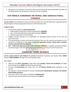<span id="page-24-0"></span> Measures for the promotion of bi-lateral trade and investments was discussed between the India and the ASEAN Nations and the Business community of India and ASEAN.

### 6TH WORLD CONGRESS ON RURAL AND AGRICULTURAL FINANCE

**Current context:** Union Minister for Finance & Corporate Affairs Smt. Nirmala Sitharaman inaugurated the 6th World Congress on Rural and Agriculture Finance on 12th November 2019.

#### **SIGNIFICANCE**

- The 6th World Congress is **jointly organised by:**
	- 1. National Bank for Agriculture and Rural Development (**NABARD**)
	- 2. Asia Pacific Rural Agricultural and Credit Association (**APRACA**)
	- 3. Ministry of Agriculture Farmers Welfare
- It **aims** to provide pathways to all stakeholders for extending financial services to the rural and agricultural sector.
- The representatives of banks and financial institutions from over 40 countries have gathered in the conference to deliberate on the subject of **Rural and Agriculture Finance: Critical Input to Achieve Inclusive and Sustainable Development.**
- <span id="page-24-1"></span> **Asia - Pacific Rural Agricultural and Credit Association (APRACA)** is a regional association facilitates mutual exchange of information and expertise in the field of rural finance to avert financial risks.

### EXERCISE TIGER TRIUMPH

**Current context: India-US joint bilateral Tri services** Humanitarian Assistance and Disaster Relief (**HADR**) Exercise **'TIGER TRIUMPH'** will begin from 13th November 2019.

#### **KEY FACTS**

- Indian Air Force **MI-17 helicopters**, Indian Naval ships **Jalashwa, Airavat and Sandhayak**, and Rapid Action Medical Team (**RAMT**) would participate from India.
- US Navy Ship **Germantown** and troops from US Third **Marine Division** would participate in the exercise.
- The exercise is being conducted to increase interoperability **Humanitarian Assistance and Disaster Relief (HADR) operations.**
- The Harbour Phase of the exercise will begin at **Visakhapatnam.**
- <span id="page-24-2"></span>India has previously only held tri-service exercises with **Russia.**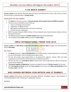### 11TH BRICS SUMMIT

**Current context:** Prime Minister Narendra Modi will attend 11th BRICS (Brazil, Russia, India, China and South Africa) Summit on 14th November in **Brasilia, Brazil.**

#### **HIGHLIGHTS OF THE SUMMIT**

- The **theme** for this year summit is **"Economic growth and innovative future for BRICS economies".**
- The focus areas of the BRICS Summit 2019 are:
	- 1. science, technology and innovation
	- 2. cooperation on digital economy
	- 3. fight against transnational crime and money laundering
	- 4. counter-terrorism cooperation
- BRICS Innovation Network, BRICS Institute of Future Network and a Women Business Alliance will also be launched this year.
- The BRICS grouping represents **3.6 billion people** (half of the world population).
- <span id="page-25-0"></span>The combined nominal **GDP** of BRICS countries is **\$16.6 trillion.**

### INDIA INTERNATIONAL TRADE FAIR 2019

**Current context:** The **39th edition of the India International Trade Fair 2019** will begin from 14th November 2019 in **New Delhi.**

#### **KEY FACTS**

- The **theme** of the fair is **'Ease of Doing Business'** on the eve of India's unique achievement in improving its rank in World Bank's Ease of Doing Business Index to 63rd.
- The fair will provide equal opportunities to non-government agencies, artisans, SHGs and large corporations to promote their products/services to potential customers.
- The fair will serve as a **convergence point** for government and non-government agencies along with private sector enterprises.
- **'The Islamic Republic of Afghanistan'** has been accorded the status of **'Partner Country'** for this year.
- <span id="page-25-1"></span> And **'The Republic of Korea'** will be the **'Focus Country'** for this year while **Bihar and Jharkhand** will be the **focus states** in the fair.

### MOU SIGNED BETWEEN CSIR-IMTECH AND IIT BOMBAY

**Current context:** CSIR-Institute of Microbial Technology (IMTECH), Chandigarh signed a Memorandum of Understanding (MoU) with IIT Bombay for collaborative research.

#### **DETAILS**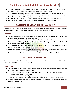- The MoU will facilitate the development of new knowledge and enhance high-quality research, exchange of ideas between the researchers and faculty of both the institutes.
- The **objective** of the collaboration is to carry out **state of the art research in areas of healthcare.**
- The MoU is in line with the circular issued by MHRD in **2018** to collaborate with **National Research Laboratories affiliated to CSIR** and paving way for all IITs.
- **CSIR-IMTECH** was established in 1984, is a national center for excellence in microbial sciences.
- <span id="page-26-0"></span>IMTECH's vision is to discover **new drugs to address key societal and medical needs.**

### NATIONAL SEMINAR ON SOCIAL AUDIT

**Current context:** The Minister of State for Rural Development **Sadhvi Niranjan Jyoti** inaugurated the **'National Seminar on Social Audit of Rural Development Programmes'** on 13th November 2019.

#### **KEY FACTS**

- She also released the Social Audit Guidelines for **National Social Assistance Program (NSAP) and Pradhan Mantri Awas Yojana –Grameen (PMAY-G).**
- A report titled **'Status of Social Audits in India'** was also released at the seminar.
- The seminar was jointly organised by the **Department of Rural Development and National Institute of Rural Development and Panchayati Raj.**
- The **objective** of the seminar was to understand the current status of social audits and develop plans to roll out a social audit in other programmes.
- **Social Audit** is a public assembly where all the details of a project are scrutinized that includes the resources, **both financial and non-financial,** used by public agencies for development initiatives.
- <span id="page-26-1"></span>It involves an **in-depth analysis** of the working of an entity in which the **public is involved.**

#### EXERCISE 'SHAKTI-2019"

**Current context:** Indo-French Joint Military Training Exercise Shakti– 2019 was concluded at Mahajan Field Firing Range, **Rajasthan** on 13th November 2019.

#### **HIGHLIGHTS**

- The **aim of the exercise** was to achieve interoperability in operational procedures, combat drills and understand the functioning in such situations.
- The **focus of the exercise** is on counter-terrorism operations under the United Nations mandate.
- The exercise was conducted in **two phases:**
	- 1. First phase of combat conditioning and tactical training.
	- 2. Second phase was the validation stage to put into practice the training received in the 1st phase.
- **'RUDRA' helicopter,** which is the weaponised version of the Advanced Light Helicopter **'Dhruv'** was included in the exercise.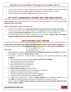- Troops of the 21st Marine Infantry Regiment of the 6th Armoured Brigade represented the French Army and Indian Army was represented by the Sikh Regiment of South western command.
- <span id="page-27-0"></span>The biennial exercise was started in **2011** between the two countries.

### UP GOVT LAUNCHED E-GANNA APP AND WEB PORTAL

**Current context:** Uttar Pradesh government has launched e-Ganna web portal and a mobile application **for sugarcane farmers of the state.**

#### **ABOUT WEB PORTAL AND E-GANNA APP**

- Under the new initiative, Cane **supply slip will now be issued to the farmers by sugar mills online.**
- The web portal and e-Ganna App will help in strengthening the cane development societies by eradicating **cane mafia and middleman** between the sugar cane farmers and the sugar mills.
- <span id="page-27-1"></span> The portal and the App will ensure transparency in the process of **getting slips, and facilitate sugarcane supply by farmers to mills and check irregularities.**

#### 2019 GOLDEN LEAF AWARD

**Current context: The Golden Leaf Award in the Most Impressive Public Service Initiative category** for the year 2019 has been given to the **Tobacco Board of India** at Tab Expo 2019 in **Amsterdam, The Netherlands.**

#### **KEY FACTS**

- Tobacco Board is a statutory body established under **Ministry of Commerce and Industry** and regulate the production and curing of **Virginia tobacco in India.**
- The award is granted on an annual basis to companies with outstanding performance in **five categories:**
	- 1. Most impressive public service initiative (**India is awarded in this category**)
	- 2. Most promising new product introduction
	- 3. Most exciting newcomer to the industry
	- 4. Most outstanding service to the industry
	- 5. Most committed to quality award
- The **Tobacco Board of India** got the award due to:
	- 1. Its best outstanding public service in sustainability to the industry
	- 2. Initiatives on natural farming in tobacco cultivation
	- 3. Introduction of 365 days green cover in tobacco cultivation
	- 4. Elimination of Non-Tobacco Related Material (NTRM) etc.
- The Golden Leaf Awards were created by **Tobacco Reporter,** an international magazine in the year **2006,** to recognize professional excellence and dedication in the tobacco industry.
- Earlier in 2014, the **Tobacco Board of India won a Golden Leaf Award in the Most Impressive Public Service Initiative category.**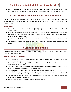<span id="page-28-0"></span> India is the **fourth largest producer of Flue-Cured Virginia (FCV) tobacco** in the world and farmer families in states of **Andhra Pradesh and Karnataka** are dependent on this crop for their livelihood.

### MELPL: LARGEST FDI PROJECT OF INDIAN RAILWAYS

**Current context:** Indian Railways has entered into Procurement cum Maintenance Agreement with **Madhepura Electric Locomotive Pvt. Ltd. (MELPL)** as part of largest Foreign Direct Investment project of Indian Railways.

#### **HIGHLIGHTS**

- The Madhepura Electric Locomotive Pvt. Ltd. (MELPL) is a **joint venture of Indian Railways (India) and Alstom (France).**
- Ministry of Railways and Alstom came together in **2015** to transform the heavy freight transportation landscape of India and an agreement worth **3.5 billion Euro** was signed to manufacture **800 electric locomotives for freight service.**
- As part of the project, the factory has been set up in **Madhepura, Bihar** to manufacture **120 locomotives per year.**
- <span id="page-28-1"></span> The project will allow faster (maximum speed of 100 kmph) and safer movement of heavier **freight trains.**

### GLOBAL COOLING PRIZE

**Current context:** Ministry of Science & Technology will announce the finalists of the 'Global Cooling Prize' (GCP) on 15th November 2019.

#### **ABOUT GLOBAL COOLING PRIZE**

- The Global Cooling Prize is organized by the **Department of Science and Technology** (DST) under the **Mission Innovation (MI) programme.**
- Mission Innovation (MI) is a global initiative of **24 countries and the European Union** to accelerate global clean energy innovation.
- The Mission Innovation Challenge **# 7: Affordable Heating and Cooling Challenge** has the objective to make low carbon heating and cooling affordable for everyone.
- **The Global Cooling Prize** is organized to develop a **residential cooling solution** that has at least five times (5x) less climate impact, requires radically less energy to operate, low global warming potential, utilizes refrigerants with no ozone depletion potential.
- The competition runs for two years and the finalists will be awarded **US \$200,000** to develop two prototypes for real field testing in India.
- <span id="page-28-2"></span>India already contributes **7% of global greenhouse gas emissions.**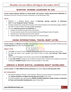### 'NISHTHA' SCHEME LAUNCHED IN J&K

**Current context: National Initiative for School Heads' and Teachers' Holistic Advancement (NISHTHA)** was launched in the Union Territory of Jammu and Kashmir on 15th November 2019.

#### **FACTS**

- NISHTHA is a National Mission aimed at **"Improving learning outcomes at Elementary level"** through **Integrated Teacher Trainings.**
- It brings competencies among all the teachers and school principals at the elementary stage to address the diverse needs of children through multiple pedagogies.
- The main **expected outcomes from NISHTHA** are:
	- 1. Creation of a healthy and safe school environment.
	- 2. To make teachers aware of the social, emotional and psychological needs of students
	- 3. Improvement in learning outcomes of the students.
	- 4. Teachers adopt Activity Based Learning away from rote learning etc.

### CHINA INTERNATIONAL TRAVEL MART (CITM)

<span id="page-29-0"></span>**Current context:** The **Ministry of Tourism**, is participating at China International Travel Mart (CITM) to be held at **Kunming, China** from 15th -17th November 2019.

#### **ABOUT CITM**

- CITM **aims** to increase Tourism, Trade & Tourist arrivals and investments between India & China.
- The Mart will attract more travellers from China as part of India's **"Act East"and "China Ready" Policies.**
- CITM is one of the largest Travel shows in Asia and this the **21st edition of CITM.**
- A large **India Pavilion** is being set up at CITM to promote India's varied tourism products and services including the **Buddhist Circuit** to attract Chinese travellers to visit India.

### <span id="page-29-1"></span>UNESCO & MGIEP DIGITAL LEARNING DRAFT GUIDELINES

**Current context:** The **40th UNESCO General Conference** was held in **Paris on 15th November 2019.**

#### **KEY HIGHLIGHTS**

- Shri Ramesh Pokhriyal 'Nishank', Union Minister, Ministry of Human Resource Development launched the **'Industry Guidelines on Digital Learning (discussion draft)'** at the event.
- The Draft Guidelines were developed by **UNESCO & MGIEP (Mahatma Gandhi Institute of Education for Peace and Sustainable Development),** based in New Delhi.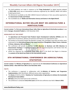- The draft guidelines are made in response to the **"Vizag Dcelaration"** on digital learning adopted at **TECH 2018**, which was an international conference organised by the UNESCO, MGIEP and Andhra Pradesh government.
- The Ministerial roundtable at the 40th UNESCO General Conference in Paris was jointly organised by the **Government of India and Finland.**
- <span id="page-30-0"></span>The roundtable was on **'Media and Information Literacy and Games in the Digital World'.**

### INTERNATIONAL BUYER SELLER MEET ON AGRICULTURE & HORTICULTURE

**Current context:** The **first ever International Buyer Seller Meet on Agriculture & Horticulture produce** is was held in **Itanagar, Arunachal Pradesh** on 14th November 2019.

#### **HIGHLIGHTS OF THE EVENT**

- The **Agricultural and Processed Food Products Export Development Authority (APEDA)** under the Department of Commerce, Ministry of Commerce and Industry has organised the meet.
- The products of Arunachal Pradesh like Mandarin oranges, kiwi, pineapple, king chilly and others were showcased to the **International buyers from seven countries of Bangladesh, Nepal, Greece, Sultanate of Oman, Indonesia, UAE and Bhutan.**
- The conference will provide a platform for **B2B (Business to Business) and B2G (Business to Government) meetings** of international buyers with the importers/exporters and farmers from the North East Region (NER).
- <span id="page-30-1"></span> APEDA has organised the International Buyer Seller Meet in the North East Region to showcase the **products of the North East States to the international market.**

### 8TH INTERNATIONAL CONFERENCE ON AGRICULTURAL STATISTICS

**Current context:** The **Ministry of Agriculture** has organized the 8th **International Conference on Agricultural Statistics (ICAS)** in **New Delhi from 18th to 21st November 2019.**

#### **FACTS**

- The conference is organized in collaboration with the **Ministry of Statistics and Programme Implementation,** ADB, World Bank, AfDB and various other organizations.
- The **theme** of ICAS for 2019 is **'Statistics for Transformation of Agriculture to Achieve the Sustainable Development Goals (SDGs)'.**
- **Bill Gates** will be the Chief Guest at the conference.
- The conference is conducted **every three years** and the last conference was held in **Rome in 2016.**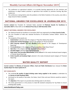- The conference on agricultural statistics is to provide learning opportunity for the scientists and statisticians to adopt modern practises in agriculture that includes AI, precision farming, Big Data analysis etc.
- The conference is being held to solve the problems in the field of statistics in the country, even after a large amount of data is available.

### <span id="page-31-0"></span>NATIONAL AWARDS FOR EXCELLENCE IN JOURNALISM 2019

**Current context:** Vice President M. Venkaiah Naidu awarded the **'National Awards for Excellence in Journalism 2019'** at New Delhi on the **National Press Day on 16th November 2019.**

#### **ABOUT NATIONAL AWARDS FOR EXCELLENCE**

- The 'National Awards for Excellence in Journalism 2019' was organized by the **Press Council of India.**
- The Vice President of India also released the Norms of Journalistic Conduct Edition -2019 at the function.
- The recipients of the awards are:
	- 1. **Gulab Kothari:** selected under the category of "Raja Ram Mohan Roy Award"
	- 2. **Sanjay Saini and Raj Chengappa:** award in the category of "Rural Jounalism"
	- 3. **Shiva Swaroop Awasthi and Anu Abrahim:** jointly selected in the category of 'Development Reporting"
	- 4. **P.G.Unnikrishnan:** in the category of"Photo Journalism- Single News Picture"
	- 5. **Sipra Das:** in the category of "Photo Journalism-Photo Feature"
	- 6. **Saurabh Duggal:** selected in the "Sports Reporting"
	- 7. **Ruby Sarkar and Anuradha Mascarenhas:** jointly awarded in the newly introduced award category of 'Gender Based Reporting'
	- 8. **Krishn Kaushik and Sandeep Singh:** selected in the newly introduced award category of 'Financial Reporting'

#### WATER QUALITY REPORT

<span id="page-31-1"></span>**Current context:** The **Ministry of Consumer Affairs, Food and Public Distribution** have released the **Water Quality Report for State Capitals & UT.**

#### **KEY HIGHLIGHTS**

- The study **on the quality of piped drinking water being supplied in the country** is undertaken by the **Bureau of India Standards (BIS).**
- And based on the quality of tap water, the States, Smart Cities and even Districts would be ranked in the report.
- The **objective** of the report is to provide clean drinking water to all citizens.
- The Union government is in the process to make BIS standard compulsory for Tap Water to ensure drinking water quality.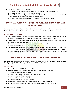- The survey is conducted in four Phases:
	- 1. **Phase 1:** Drinking water samples would be taken from various locations across Delhi
	- 2. **Phase 2:** samples were drawn from 20 State capitals
	- 3. **Phase 3:** samples from Capital cities of the North Eastern States and Smart Cities as identified by the Ministry of Housing and Urban Affairs would be tested
	- 4. **Phase 4:** test samples drawn from all the district headquarters of the country

### <span id="page-32-0"></span>NATIONAL SUMMIT ON GOOD, REPLICABLE PRACTICES AND INNOVATIONS

**Current context:** Union **Minister for Health & Family Welfare** Dr Harsh Vardhan, has inaugurated the **6th National Summit on Good, Replicable Practices and Innovations** at Gandhinagar (Gujarat).

#### **ABOUT SAANS CAMPAIGN**

- The **objective** of the summit is to provide a platform to the health workers, functionaries, doctors etc. for sharing of knowledge and experiences with each other and meet health outcomes.
- **SAANS campaign "Social Awareness and Action to Neutralise Pneumonia Successfully"** was launched at the Summit to control **Pneumonia.**
- The initiative aims to create mass awareness about the effective solutions for pneumonia prevention including immunization, good quality air, breastfeeding etc.
- The interventions taken in the SAANS campaign for the most fatal childhood illnesses, Pneumonia are:
	- 1. A child suffering from Pneumonia will be treated with a pre-referral dose of **Amoxicillin by ASHA.**
	- 2. **Pulse Oximeter** will be used at the Health and Wellness Centre for identification of low oxygen levels in the blood.

#### 6TH ASEAN DEFENCE MINISTERS" MEETING-PLUS

<span id="page-32-1"></span>**Current context:** Defence Minister Rajnath Singh will represent India in the **6th ASEAN Defence Ministers' Meeting-Plus (ADMM-Plus) in Bangkok, Thailand** on 18th November 2019.

#### **ABOUT ASEAN**

- Defence Ministers of **18 ADMM-Plus countries** will attend the meeting.
- Rajnath Singh will held bilateral meetings on the side-lines of ADMM-Plus with :
	- 1. US Secretary of Defence Mark Esper
	- 2. Deputy Prime Minister of Thailand, General Prawit Wongsuwan
	- 3. Defence Minister of Japan Taro Kono
	- 4. Defence Minister of Australia Linda Reynolds
	- 5. Defence Minister of New Zealand Ron Mark.
- **ADMM-Plus** is the meeting of the **ASEAN countries and its 8 Dialogue Partners.**
- It **aims** to enhance defence cooperation for peace, stability and security in the region.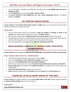- The Concept Paper to establish the ADMM-Plus was adopted in the **2nd ADMM, which was held in Singapore in 2007.**
- The **1st ADMM Plus** was convened in **Ha Noi, Vietnam in 2010.**
- <span id="page-33-0"></span> The **current Chairman of the ADMM-Plus** is **H.E. Gen. Prawit Wongsuwon** (Minister of Defence), Kingdom of **Thailand.**

#### 1ST WINTER-GRADE DIESEL

**Current context:** The **first Winter-Grade Diesel outlet for Ladakh** region was launched by the Union Home Minister Amit Shah on 17th November 2019.

#### **HIGHLIGHTS**

- The first Winter-Grade Diesel was launched to **avoid the problem of freezing of diesel in the vehicles** when winter temperatures drop to as low as **-30 degree Celsius.**
- Normal grade of Diesel loses its **fluidity function in the extreme winter** weather of the region.
- The grade diesel will held in smoothening the travel and transportation during peak tourist season in extreme cold, along with tourism and supply needs of the people of the region.
- <span id="page-33-1"></span>The winter-grade diesel is developed by the **Indian Oil Corporation (Indian Oil).**

### INDIA BAGGED 9 MEDALS AT WORLD PARA ATHLETICS CHAMPIONSHIP

**Current context:** India has bagged the **best-ever nine medals haul at the World Para Athletics Championship.**

#### **ABOUT WORLD PARA ATHLETICS CHAMPIONSHIP**

- The World Para Athletics Championship 2019 was held in **Dubai.**
- **India scored two gold, two silver and five bronze medals** in the event.
- **•** India secured 13 qualifying spots at the Tokyo 2020 Paralympics.
- Before this year, India's best-ever show of **5 medals in the joint 34th place was seen in London 2017.**
- **Sundar Singh Gurjar** (F46 category) and **Sandeep Chaudhary** (F64 category) won Gold for India in the Championship.
- **Sumit Antil and Sharad Kumar** claimed silver in the event.
- <span id="page-33-2"></span>**China** topped the medals tally with **59 medals** followed by **Brazil** (39) and **Great Britain** (28).

### EXERCISE ZA"IR-AL-BAHR (ROAR OF THE SEA)

**Current context:** The Bilateral Maritime Exercise **Za'ir-Al-Bahr (Roar of the Sea)** is being conducted between the **Navies of India and Qatar** from 17th to 21st Nov 19.

#### **HIGHLIGHTS**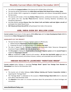- This will be the **inaugural edition** of the Exercise Za'ir-Al-Bahr (Roar of the Sea).
- The exercise will be held between the **Indian Navy and Qatari Emiri Naval Forces in Doha, Qatar.**
- The Za'ir-Al-Bahr 2019 is organised to strengthen cooperation and enhance interoperability between the two navies.
- The exercise will include a three-day **Harbour Phase** (seminar, professional interaction, official visits, and sports) and Two days **Sea Phase** (Maritime Exercise involving Maritime Surveillance and Interdiction Operation).
- Anti-Ship Missile equipped **Barzan Class Fast Attack Craft and Rafale multi-task fighter aircraft** will participate from Qatari Naval Forces.
- <span id="page-34-0"></span>**INS Trikand and Patrol Aircraft P8-I** will participate from India in the exercise.

### ADB, INDIA SIGN \$91 MILLION LOAN

**Current context:** Government of India signed a **\$ 91 million loan** with the **Asian Development Bank** (ADB) for Comprehensive **Water Management in Karnataka.**

#### **HIGHLIGHTS OF THE PROJECT**

- The loan has been taken to improve irrigation water use efficiency by:
	- 1. Modernizing the **Vijayanagara Channel irrigation systems**
	- 2. Preparing river basin management plans in the **Krishna river basin**
- The loan is signed for the Karnataka Integrated and Sustainable Water Resources Management Investment Program (**IWRM**) that involves two projects.
- The **first project** is helping the modernization of the **Gondi irrigation system** and the **second Project** to modernize **Vijayanagara Channel.**
- <span id="page-34-1"></span> **ADB** was established in **1966**, owned by 68 members - **49 from the Asia-Pacific region** and aims to eradicate extreme poverty and achieve inclusive, resilient, and sustainable Asia and the Pacific.

### INDIAN RAILWAYS LAUNCHED "HERITAGE WEEK"

**Current context:** Indian Railways is launching **"Heritage Week" Special Tour Package from Mumbai to Ahmedabad** from 22nd to 25th November 2019.

#### **ABOUT**

- The tourism arm of Indian Railways, **Indian Railway Catering and Tourism Corporation Limited**, is organising the "Heritage Week".
- The "Heritage Week" is celebrated on the occasion of **World Heritage Week 2019** which is observed from 19th to 25th November 2019.
- The **objective** of the week is to increase awareness about the preservation of cultural heritages and monuments.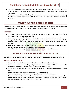- The Special Tour Package will explore **the heritage and culture of Gujarat** and will cover the UNESCO World Heritage Site of **"Rani ki Vav", Champaner-Pavagadh Archaeological Park, Modhera Sun Temple** etc.
- <span id="page-35-0"></span> There are a total of **38 World Heritage Sites in India that are** listed by United Nations Educational, Scientific and Cultural Organization (UNESCO) that includes **30 cultural sites, 7 natural sites and 1 mixed site.**

### TARGET OLYMPIC PODIUM SCHEME

**Current context:** Minister of State for **Youth Affairs and Sports, Kiren Rijiju** gave information about the **Target Olympic Podium (TOP) Scheme**, during a written reply in the Rajya Sabha on 18th Nov 19.

#### **KEY FACTS**

- The Target Olympic Podium (TOP) Scheme was **formulated in July 2014**, under the ambit of the **National Sports Development Fund (NSDF).**
- The scheme **aims** to identify and prepare potential players for the Olympic and Paralympic Games.
- A **"High priority category"** has been created to focus on those players who have won medals in the Commonwealth Games, Asian Games or in which India has a good chance of winning medals in Olympics.
- **Nine sports disciplines** are included in the high priority category: **Athletics, Badminton, Hockey, Shooting, Tennis, Weightlifting, Wrestling, Archery and Boxing.**
- <span id="page-35-1"></span>About **54%** of the National Sports Development Fund (NSDF) is incurred on TOP Scheme.

### JUSTICE SA BOBDE TOOK OATH AS 47TH CJI

**Current context: Justice Sharad Arvind Bobde** took oath as the **47th Chief Justice of India** on 18th Nov 19.

#### **ABOUT JUSTICE SA BOBDE**

- **President Ram Nath Kovind** administered him the **oath** of office at Rashtrapati Bhavan.
- Justice Bobde **succeeded Justice Ranjan Gogoi** as he was retired on 17th Nov 19. Justice Bobde is the senior-most Judge in the Supreme Court in hierarchy after CJI Ranjan Gogoi.
- Justice Bobde will hold the office of CJI for a **tenure of around 18 months till his retirement on April 23, 2021.**
- He was appointed as a Judge of the Supreme Court on **April 12, 2013.**
- He began practising law in 1978 before the Nagpur bench of the Bombay high court.
- <span id="page-35-2"></span> He was also the member of the **5-judge constitution bench** which delivered the landmark **Ayodhya verdict** and was a party in the judgement to ban crackers in the wake of Delhi pollution in the city, Aadhaar ruling which upheld a citizen's right to privacy etc.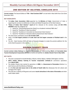### 2ND EDITION OF ISA-STEEL CONCLAVE 2019

**Current context:** The Second Edition of **"ISA – Steel Conclave 2019"** is to be held in New Delhi from 21st-22nd November 2019.

#### **KEY HIGHLIGHTS**

- The **Indian Steel Association (ISA)** supported by the **Ministry of Steel**, Government of India is organising the conclave to deliberate on Indian and Global Perspectives of the Steel Industry.
- **"Status of Indian Steel Industry" report** will be released at the conclave along with **ISA STEEL AWARDS** under the categories of:
	- 1. Award for "Outstanding Researcher (Steel) in an Academic Institute/ R&D Labs."
	- 2. Award for "Excellence in Steel Journalism"
	- 3. Award for "Excellence in Innovation by Downstream Steel Industry".
	- 4. Award for "Excellence in Domestic Sales by Downstream Steel Industry".
- The steel sector contributes around **2% of India's GDP.**
- India is the **2nd largest producer of crude steel and 3rd largest consumer of finished steel** in the world.
- <span id="page-36-0"></span>• The ISA – Steel Conclave 2019 will look on forward strategies to create the premier platform for the entire Steel Ecosystem in the country.

### GOLDEN CHARIOT TRAIN

**Current context: Indian Railways** has signed a Memorandum of Understanding (**MoU**) with **Karnataka State Tourism Development Corporation (KSTDC)** to market and operate the **Golden Chariot Train in New Delhi.**

#### **KEY FACTS**

- The train is proposed to include Bandipur, Mysore, Hampi, Bijapur, Halebid, Chikmagalur and Goa.
- **IRCTC (Indian Railway Catering & Tourism Corporation Limited)** will commence operations from **March 2020.**
- The Golden Chariot train started its operations in **2008**, is a **Government of Karnataka** initiative in a Joint Venture with the Ministry of Railways.
- It is the **first and only luxury train in the whole of South India** that showcases the rich culture and heritage of the region.
- <span id="page-36-1"></span> The train has a capacity of 84 guests and covers **tourist attractions in the state of Karnataka** and other south Indian states.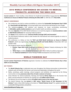### 2019 WORLD CONFERENCE ON ACCESS TO MEDICAL PRODUCTS: ACHIEVING THE SDGS 2030

**Current context:** Dr. Harsh Vardhan, Union Minister for Health & Family Welfare inaugurated the **'2019 World Conference on Access to Medical Products Achieving the SDGs 2030'** on 19th Nov 19 in **New Delhi.**

#### **ABOUT CONFERENCE**

- The conference was held to analyse possibilities to achieve the **Sustainable Development Goal 3 (SDG 3) - Good Health and Well-being**, at ensuring healthy lives and promote well-being for all at all ages.
- The conference **aimed** to find solutions and measures on issues surrounding provisioning of **affordable, quality medical products** as part of public health care delivery systems.
- The main **objective** of the 2019 World Conference is to track the progress on **recommendations made in 2018 World Conference** for accessing medical products.
- The **theme** of the conference was **'Universal Health Coverage (UHC) and innovation'.**
- The 2019 World Conference seeks to take forward the international and national agenda on access to medical products.
- The conference is a follow on from the **"2017 and 2018 World Conference on Access to Medical Products",** which was organised by the **Ministry of Health and Family Welfare** in November 2017 and October 2018.
- The inaugural session saw the release of:
	- 1. **Position Paper-2019** World Conference on Access to Medical Products–Achieving the SDGs 2030'.
	- 2. **'White Paper** on Safety of Rotavirus Vaccine in India: Smart Safety Surveillance Approach'.
	- 3. The **'National Guidelines** for Gene Therapy Product Development and Clinical Trials'.

#### WORLD FISHERIES DAY

<span id="page-37-0"></span>**Current context: Department of Fisheries** organized a function to celebrate the **World Fisheries Day in New Delhi on 21st November.**

#### **KEY POINTS**

- The **World Fisheries Day** is celebrated every year throughout the fishing communities to demonstrate solidarity with all fisherfolk, fish farmers and concerned stakeholders throughout the world.
- Rallies, workshops, public meetings, cultural programs and exhibition are organised by the fishing communities to bring **awareness about lives of water creatures to humans.**
- Union Minister for Animal Husbandry, Dairying and Fisheries **Giriraj Singh** said in the function that India's annual production of fisheries has reached up to **13 million metric tonnes.**
- The Ministry has set the target to achieve **20 million metric tonne in the next five years.**
- The World Fisheries Day was **started in 1997 where "World Forum of Fish Harvesters & Fish Workers"** meet at New Delhi leading to formation of **"World Fisheries Forum"** for a global mandate of sustainable fishing practices and policies.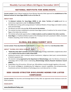#### NATIONAL INSTITUTE FOR SOWA-RIGPA

<span id="page-38-0"></span>**Current context:** Union Cabinet headed by Prime Minister Narendra Modi approved the **establishment of the National Institute for Sowa-Rigpa (NISR) in Leh on 21st Nov 19.**

#### **ABOUT NISR**

- The **National Institute for Sowa-Rigpa (NISR) in Leh, Union Territory of Ladakh** would be an autonomous organization under the **Ministry of AYUSH.**
- The NISR aims to bring useful synergy between Traditional Wisdom of Sowa-Rigpa and modern science, tools and technology.
- The Ministry has been allocated **Rs. 47.25 crore for the Institute.**
- The Institute has been established to promote Sowa-Rigpa system of medicine for the revival of Sowa-Rigpa in the Indian Sub-continent.
- The Institute will provide opportunities to **Indian students as well as students from other countries.**
- <span id="page-38-1"></span> **Sowa-Rigpa** is a Traditional Medical system of the Himalayan belt and is practiced in Sikkim, Arunachal Pradesh, Darjeeling, Union Territory of Ladakh etc.

### GLOBAL BIO-INDIA SUMMIT 2019

**Current context: Three-day Global Bio-India Summit** is to begin in New Delhi from **21st November 2019.**

#### **ABOUT "GLOBAL BIO-INDIA SUMMIT" 2019**

- **"Global Bio-India 2019" Summit** is one of the largest biotechnology stakeholders conglomerates which will be **held for the first time in India at New Delhi.**
- Hosting the Summit, India is aiming to attract investments, indigenous talent pool, commercialization of biotech equipment etc.
- The Summit is being **organized by the Department of Biotechnology** under the Ministry of Science & Technology with its Public Sector Undertaking, **Biotechnology Industry Research Assistance Council (BIRAC).**
- Stakeholders from 30 countries, 250 start-ups, 200 exhibitors would be bought together at the event.
- The Summit will **focus** on strengthening the indigenous research capabilities, bio-entrepreneurship, investments and last-mile-delivery of technology across rural India and tier-2, 3 cities.

### <span id="page-38-2"></span>SEBI ISSUED STRICTER DISCLOSURE NORMS FOR LISTED COMPANIES

**Current context:** The Securities and Exchange Board of India, SEBI, has approved stricter disclosure norms for listed companies.

#### **HIGHLIGHTS**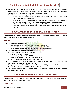- **SEBI Chairman Ajay Tyagi** announced the changes focuses on the need to build trust among whistleblowers after a **whistle-blower** approached the US watchdog, **Securities and Exchange Commission** with a complaint against IT major Infosys instead of SEBI.
	- The SEBI has proposed following rules for the listed companies:
		- o The listed companies will have to disclose the default's fact **within 24 hours**, in case of default in **repayment of loans beyond 30 days.**
		- o **Portfolio Managers (PM) Regulations, 2019** have been amended following which net worth requirement of portfolio managers has been **enhanced from 2 crore to 5 crore rupees.**
		- o Reduction in the overall time taken for a rights issue from **55 days to 31 days.**
		- o Extended the **Business Responsibility Report requirement to top 1,000 companies**, from 500 currently.

### GOVT APPROVED SALE OF STAKES IN 5 CPSES

<span id="page-39-0"></span>**Current context:** The **Cabinet Committee on Economic Affairs (CCEA)** has approved the sale of government stake in five Central Public Sector Enterprises (CPSEs).

#### **DETAILS**

- **The objective of disinvestment is to:**
	- o To widen the bandwidth of disinvestment window in select CPSEs.
	- o Promoting efficient management of Government investment in CPSEs.
	- o The increasing contribution of the CPSEs towards higher economic growth.
- **The nod for strategic disinvestment is given in:**
	- o Bharat Petroleum Corporation Limited **(BPCL)**
	- o Shipping Corporation of India **(SCI)**
	- o Container Corporation of India **(CONCOR)**
	- o North Eastern Electric Power Corporation Limited **(NEEPCO)**
	- o Tehri Hydro Development Corporation India Limited **(THDC)**
- The resources obtained after the disinvestment would be used to finance the social sector and developmental programmes of the government.
- The government will sell its 53.29 per cent stake in BPCL, 63.75 per cent in SCI, 30.8 per cent in CONCOR, 74.23 per cent in THDCIL and 100 per cent in NEEPCO.
- <span id="page-39-1"></span> The CCEA also approved reduction of government's stake in select PSUs **below 51 %, while retaining the management control.**

### AGRO-BASED AGRO-VISION INAUGURATED

**Current context:** Union Agriculture Minister Narendra Singh Tomar inaugurated **the Agro-based Exhibition-Agro-Vision on 22nd November 2019 in Nagpur.**

#### **HIGHLIGHTS**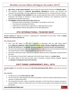- **Agro-Vision, an Agro-based Exhibition**, aims to cater the requirements of farmers of **Vidarbha region.**
- The exhibition comprises of **National Agri-Exhibition Workshop** for farmers and seminars and showcase new technology in farming, suggestions for allied business etc. to enhance farmer's income.
- This is the **11th edition of the exhibition** and also include dedicated stalls to Micro, Small and Medium Enterprises and display of livestock in which Agricultural machinery and components would be displayed by the Small entrepreneurs.
- **The highlights of the four day event of Agro-vision are:**
	- o Showcase of best of innovations, technologies, new products and services
	- o Free interactive workshops for farmers
	- o Conference on current issues in agriculture or allied agriculture sectors
	- o Huge exhibition with the participation of over 400 organizations

### 8TH INTERNATIONAL TOURISM MART

<span id="page-40-0"></span>**Current context:** The Ministry of Tourism is organising the "International Tourism Mart" (ITM) at **Imphal, Manipur from 23rd to 25th Nov 19.**

#### **KEY HIGHLIGHTS**

- This is the 8th edition of ITM and is organised in association with the eight North Eastern States **(Mizoram, Nagaland, Tripura, Arunachal Pradesh, Assam, Manipur, Meghalaya and Sikkim).**
- **The 8th ITM will focus on "Sustainable Tourism an engine for Economic Growth and Employment".**
- The event will include presentations on tourism potential in the domestic and international markets by the representatives of State Tourism Departments of these North East States.
- Interactions with Buyers-sellers, Government agencies, media and other stakeholders would be held at the event.
- The International Tourism Mart is organised in the North Eastern States on a **rotation basis.**
- <span id="page-40-1"></span> The earlier edition of the mart has been held in Guwahati, Tawang, Shillong, Gangtok, Agartala and **Manipur is hosting the mart for the 2nd time.**

### CHIT FUNDS (AMENDMENT) BILL, 2019

**Current context:** The Lok Sabha has passed the **Chit Funds (Amendment) Bill, 2019** by voice vote on 21st Nov 19.

#### **KEY POINTS**

- The Bill seeks to amend **Chit Funds Act, 1982.**
- The Chit Funds Act, 1982 regulates chit funds and prohibits a fund from being created without the prior sanction of a State Government.
- The amendment has been made to streamline operations of chit funds that are popular among lowincome families in India, as it offers both access to funds and save option and to protect the interests of investors.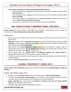- **The provisions prescribed in the Chit Funds (Amendment) Bill, 2019 are:**
	- o The prescribed ceiling of aggregate chit fund amount for individuals has been raised from **Rs 1 lakh to Rs 3 lakh.**
	- o The prescribed ceiling of aggregate chit fund amount for the firms has been raised from **Rs 6 lakh to Rs 18 lakh.**
	- o The word chit amount is substituted with terms **gross chit amount,** dividend and prize amount with the **share of discount and net chit amount.**
	- o The maximum commission of a foreman has been increased from **5% to 7%.**

### RBI CONSTITUTED 3-MEMBER PANEL FOR DHFL

<span id="page-41-0"></span>**Current context:** The Reserve Bank of India (RBI) has constituted a three-member panel to advise the Administrator of **Dewan Housing Finance Corporation Limited, DHFL.**

#### **HIGHLIGHTS**

- RBI has set up the 3-member panel in exercise of the power conferred under section 45 IE 5(a) of the RBI Act 1934.
- **Rajiv Lall**, chairman of IDFC, **N S Kannan**, Managing Director of ICICI Prudential Life Insurance's and **N S Venkatesh**, Chief Executive of Mutual Funds' Association AMFI's will be the members of the panel with DHFL administrator **R. Subramaniakumar.**
- Reserve Bank of India **superseded DHFL's board** on 20th Nov 19 and placed the company under an administrator to help recover nearly Rs 84,000 crore and ensure that the debt-laden company's asset quality does not worsen any further.
- RBI will further refer the mortgage lender to the **National Company Law Tribunal (NCLT)** for appointing the administrator as the insolvency resolution professional.
- The RBI has taken the step in the wake of governance issues and severe liquidity crisis which had led to a string of defaults.
- <span id="page-41-1"></span>DHFL is the **first non-bank lender** to be referred to the NCLT.

### GLOBAL PROSPERITY INDEX 2019

**Current context: Three Indian cities** appeared in the Global Prosperity Index **including Bengaluru, Delhi and Mumbai.**

#### **GLOBAL PROSPERITY INDEX 2019**

- Bengaluru was ranked **83rd in the list**, Delhi and Mumbai stood at **101st and 107th position.**
- The Index ranked **113 cities across the globe** in terms of their inclusive prosperity of their economies measuring not only economic growth but its distribution across their population.
- **Basque institutions** has commissioned the **Prosperity & Inclusion City Seal and Awards (PICSA) Index** and was compiled by D&L Partners.
- The Index measured the economic Prosperity in terms of: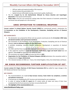- o GDP per capita and empirical quality of life measures
- o Social Inclusion (Personal Safety, ICT)
- o Spatial Inclusion (Affordable housing, environment quality, healthcare)
- The list is **topped by Zu rich (Switzerland), followed by Vienna (Austria) and Copenhagen (Denmark)** in the second and third place.
- <span id="page-42-0"></span> **PICSA index** is the first non-commercial ranking index that finds measures of economic productivity and shows how well people are in the economy.

### UNSC OPPOSITION TO CHEMICAL WEAPONS

**Current context:** The **United Nations Security Council (UNSC)** has unanimously passed a declaration for the **Convention on the Prohibition of the Development, Production, Stockpiling and Use of Chemical Weapons.**

#### **KEY HIGHLIGHTS**

- The declaration was proposed by Britain and was passed unanimously by the **15-member UNSC body (10 elected members and 5 permanent members).**
- The Convention on the Prohibition of the Development, Production, Stockpiling and Use of Chemical Weapons **aims to eliminate weapons of mass destruction.**
- It prohibits stockpiling, retention, transfer, production, development or acquisition of chemical weapons
- The UNSC said that those responsible for the use of chemical weapons should be held accountable.
- It also urged the countries to ratify the Convention. **North Korea, Egypt and South Sudan** have not signed it, while **Israel** has signed but not ratified the pact.
- The convention was signed in **1993** and came into force in **1997.**
- **Organisation for the Prohibition of Chemical Weapons (OPCW)** administers the convention which is headquartered in **Hague, Netherlands.**
- The 5 elected members of UNSC are France, the United Kingdom, China, the United States and Russia.

### <span id="page-42-1"></span>NK SINGH RECOMMENDS FURTHER SIMPLIFICATION OF GST

**Current context: N K Singh, Chairman of 15th Finance Commission (FC)** has called for major changes in the GST (Goods and Service Tax) structure.

#### **KEY POINTS**

- The recommendations are made **to help increase revenue, foster better tax compliance, scrutinise and optimise revenue etc.**
- It focused was on simplifying the GST structure and minimising the cost compliance.
- In order of making the **15th FC report,** the FC visited nearly all states and many of them have complained that the fiscal autonomy has been circumscribed by GST.
- **The highlights of the recommendations are:**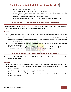- o Doing away with frequent rate changes.
- o Credible policy for rationalization of Centrally- sponsored schemes.
- $\circ$  Recommend distribution of revenues between union and the states and thereafter, among the states further to the 3rd tier.
- o Aligning the Fiscal and Debt path of both Centre and the states.
- o Reconsider the design and structure of a fiscal partnership between centre and states.

### WEB PORTAL LAUNCHED BY TAX DEPARTMENT

<span id="page-43-0"></span>**Current context:** The tax department has launched a web portal and was inaugurated on Income Tax website by the **Central Board of Direct Taxes (CBDT) Chairman P C Mody on 22nd Nov 19.**

#### **ABOUT**

- The portal will provide information about procedures related to **automatic exchange of information under common reporting standards.**
- The web portal will be the repository of circulars, notifications issued by CBDT, links to relevant circulars and guidance issued by the regulatory bodies both national and international, get information about the Indian laws etc.
- The portal will be **useful for domestic financial institutions, foreign tax authorities and financial institutions, and public.**
- <span id="page-43-1"></span> Under the **Common Reporting Standard (CRS) on Automatic Exchange of Information (AEOI),** India is committed to exchange financial account information automatically from **2017.**

### RAFEL NADAL WON THE 6TH DAVIS CUP TITLE

**Current context: Rafael Nadal** has clinched the **sixth Davis Cup title in tennis for Spain over Canada** at the Caja Mágica in **Madrid, Spain.**

#### **DETAILS**

- He has defeated **Denis Shapovalov of Canada** by 6-3, 7-6 (9-7) to clinch Spain's 2-0 win against Canada.
- **Roberto Bautista Agut**, had given Spain a 1-0 lead by beating **Felix Auger-Aliassime** 7-6 (3), 6-3 in the first singles match.
- Canada was the **1st time finalist** fighting for the Davis Cup title.
- This was **Spain's first Davis Cup title since 2011.**
- <span id="page-43-2"></span>• In 2019 Rafael Nadal won the Australian Open final, the French Open and the US Open and the Wimbledon semifinals.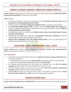### CREDIT-LINKED SUBSIDY SERVICES AWAS PORTAL

**Current context:** Hardeep Singh Puri, Minister for Housing and Urban Affairs launched **Credit-linked Subsidy Services Awas Portal (CLAP)** on 25th Nov 19 in New Delhi.

#### **ABOUT CLAP**

- The Portal will provide a robust and transparent real-time **web-based monitoring system to the beneficiaries of credit-linked Subsidy Services (CLSS).**
- Under the portal, the **real-time tracking of the application status** is accessible to the beneficiary.
- The **Credit Linked Subsidy Scheme (CLSS)** is a benefit under the **Pradhan Mantri Awas Yojana** which focuses on helping the beneficiaries to bring down their housing loan EMIs by over **Rs. 2,000 per month by offering an interest subsidy.**
- The beneficiaries under the scheme include **Middle Income Groups, Economically Weaker Sections, and Lower Income Groups.**
- Through CLSS, the Government of India aims at **increasing the credit flow in institutions** to meet the housing needs of the urban poor population in the country.
- <span id="page-44-0"></span> **Housing Urban Development Corp and National Housing Bank** are the two nodal agencies that administers the implementation of the CLSS in India.

### TAXATION LAWS (AMENDMENT) BILL, 2019

**Current context:** Finance Minister Nirmala Sitharaman introduced the **Taxation Laws (Amendment) Bill, 2019** in the Lok Sabha on 25th Nov 19.

#### **KEY HIGHLIGHTS**

- The Taxation Laws (Amendment) Bill, 2019 seeks to **replace the ordinance, issued on 20th Sept 19** that contains the provision of:
	- 1. Lowering of the corporate tax rate to **22% from 30%** for companies that don't seek exemptions.
	- 2. Reduced the rate for new manufacturing companies to **15% from 25%.**
- The Taxation Laws (Amendment) Bill, 2019 slashes the corporate rate tax to **22% for domestic companies** provided they do not claim certain deductions under the IT Act.
- The bill provides an option to pay income tax at the rate of **15% to new domestic manufacturing companies**, provided they do not claim certain deductions.
- <span id="page-44-1"></span> Currently, **25%** is the rate of income tax that is paid by the domestic companies with an **annual turnover of up to Rs 400 crore** and **30%** is the rate for other domestic companies.

### CONSTITUTION DAY

**Current context: Constitution Day or Samvidhan divas** is observed across the country on 26th Nov every year.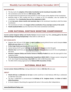#### **BACKGROUND**

- The day marks the **adoption of the Indian Constitution by the Constituent Assembly in 1949.**
- The constitution came into force on **26th January, 1950.**
- The government has planned year-long activities to mark 70 years of the adoption of the Constitution.
- Narendra Modi in 2015 marked the day as a tribute to Dr B R Ambedkar, who has drafted the constitution. Thus, **Constitution Day was first celebrated in 2015.**
- It took **two years, eleven months and seventeen days** to the constituent Assembly to draft the Indian Constitution.
- The Constitution of India is the **longest written constitution of any sovereign country in the world.**
- <span id="page-45-0"></span>**Pandit Jawaharlal Nehru** was the Chairman of the Union Constitution Committee.

### 63RD NATIONAL SHOTGUN SHOOTING CHAMPIONSHIP

**Current context: Sangram Dahiya and Varsha Varman** clinched double trap titles, **winning gold at the 63rd National Shotgun Shooting Championship** in New Delhi on 25th Nov 19.

#### **KEY HIGHLIGHTS**

- Sangram shot 142 out of 150 targets in **men's category** leaving behind former world champion **Ankur Mittal who won silver** with 137 hits.
- **Prithvi Singh Chahal won bronze** with a score of 135.
- Varsha Varman hit 97 out of 120 targets in the **women's category** to clinch the gold.
- **Manisha Keer** had 93 hits and won **Silver** and **Mahima Vishwakarma** ensured 92 hits wining **bronze** at the event.
- **Haryana's Sangram Dahiya and Varsha Varman of Madhya Pradesh** also won the team gold for their respective States.
- **The 63rd National Shooting Championship Competitions (NSCC) 2019** in Shotgun events is being held at Dr. Karni Singh Shooting Ranges, **New Delhi** from 16th to 30th November 2019.
- <span id="page-45-1"></span>The NSCC 2019 is being organized by the **National Rifle Association of India.**

### NATIONAL MILK DAY

**Current context: National Milk Day** is being celebrated in India on **26th Nov 19** every year.

#### **ABOUT**

- **World milk day is celebrated on 1st June** in entire world but in India National, Milk Day is celebrated on 26th Nov every year.
- The day is celebrated to commemorate the **birthday of Dr. Verghese Kurien**, the **Father of India's White Revolution.**
- Dr Kurien helped in flourishing the organized milk sector in the country after Independence.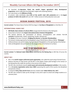- He launched the **Operation Flood, the world's largest agricultural dairy development programme**, which made dairy farming India's largest self-sustaining industry.
- He is also known as the **Milkman of India.**
- <span id="page-46-0"></span> At present, India contributes about **22% of the world's total milk production** and is the **largest producer of milk in the world** with over 187.7 million tonnes of milk production every year.

### OCEAN DANCE FESTIVAL 2019

**Current context:** The Ocean Dance Festival 2019 has begun in **Cox Bazar of Bangladesh** on 22nd Nov 19.

#### **INTERNATIONAL DANCE DAY**

- **KM Khalid, State minister of cultural affairs** inaugurated the festival as the chief guest.
- Ocean Dance Festival is the **largest international dance festival of Bangladesh.**
- The festival observes the participation of dancers, choreographers and scholars from **15 countries** including India, Taiwan, Hong Kong, Canada, Lithuania etc.
- The **theme** of this year's festival is **'Bridging the distance' or Durotter Shetubandhan.**
- The festival is being organised by the Bangladesh wing of World Dance Alliance (WDA), **"Nrityajog".**
- Ardhanarishwara was performed by Zuairiyah Mouli of Bangladesh on the opening day of the festival.
- <span id="page-46-1"></span>• India and Bangladesh also performed on the inaugural day of the festival at Cox Bazar.

### NCC 71ST RAISING DAY

**Current context:** The **National Cadet Corps (NCC),** celebrated its **71st Raising Day** on 24th Nov 19 across the country.

#### **ABOUT NCC**

- NCC is the **world's largest uniformed youth organization**, also called the youth wing of Armed Forces.
- Defence Secretary Dr Ajay Kumar and DG NCC Lt Gen Rajeev Chopra paid homage to the martyrs on the Raising Day who made the sacrifice in the service of the nation.
- The NCC also contributes towards **social causes and community development activities** in the country.
- It is a **tri-service organization active since 1948** in grooming the youth of the country into disciplined and patriotic citizens.
- It comprises **Army, Navy and Air Force** and was created under **Indian Defence Act, 1917.**
- <span id="page-46-2"></span>• The NCC was created to make up the shortage in army and is open to school and college students on a voluntary basis.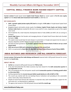### CAPITAL SMALL FINANCE BANK RAISED EQUITY CAPITAL FROM OOJIF

**Current context:** Punjab based lender **Capital Small Finance Bank** has raised capital of **Rs 84 crore equity capital** from the **Oman India Joint Investment Fund II (OIJIF)** on 26th Nov 19.

#### **KEY HIGHLIGHTS**

- **OIJIF, a growth capital private equity (PE) fund** has bought a **9.9% stake** in Punjab-based Capital Small Finance Bank.
- Bangalore-based mid-market private equity fund **Amicus Capital Private Equity and Amicus Capital Partners India Fund** also invested Rs 38 crore in June and Rs 5 crore, respectively as part of the capital raise round.
- ICICI Prudential Life, Small Industries Development Bank of India (SIDBI) and HDFC Life are among its investors.
- **Sarvjit Singh Samra** is the founder and managing director of Capital Small Finance Bank who founded the bank in **2000.**
- The capital raised would help the bank deepen its penetration in Punjab and expand into the states of Haryana, Rajasthan and NCT (National Capital Territory) Delhi.
- The bank has been granted an **'in-principle' approval from the Reserve Bank of India to set up a small finance bank.**
- **OIJIF was set up in 2010 and is currently investing out of its second fund.**
- OIJIF is co-sponsored by **State Bank of India (SBI) and State General Reserve Fund of Oman (SGRF).**

### <span id="page-47-0"></span>INDIA RATINGS AND RESEARCH (IND-RA) GROWTH FORECAST

**Current context: Fitch group firm India Ratings and Research** lowered India's GDP growth forecast for current fiscal for the **fourth time.**

#### **ABOUT IND-RA**

- **Ind-Ra** has revised its GDP growth forecast for **FY20 to 5.6%.**
- It has also forecasted that the Indian economy may have slowed for the **sixth consecutive quarter in July-September to 4.7%.**
- The 4.7% projection for the 2nd quarter would mark **6 consecutive quarters of slowing growth which is a first since 2012.**
- **Ind-Ra projected that the Current Account Deficit would decline to 1.8% of GDP in FY20.**
- The crunch was started with the non-banking finance institutions and spreading to the automobile sector, home sales, heavy Industries etc.
- Despite of recent fiscal stimulus like reduction in corporate rates, bank recapitalization, support for the auto sector etc. no improvement is registered.
- The agency had revised its FY20 GDP growth forecast **to 6.1% a month ago.**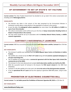### <span id="page-48-0"></span>UP GOVERNMENT TO SET UP STATE'S 1ST VULTURE CONSERVATION

**Current context:** The Uttar Pradesh Government has decided to set up state's first vulture conservation and breeding centre **Maharajganj district.**

#### **HIGHLIGHTS**

- The decision was taken in the concern of the data presented by the Environment Minister in Parliament recently about a sharp decline in the population of vultures in the country.
- As per the data, the **endangered vulture population** has come down from **40 million to 19,000 in a span of over three decades.**
- The vulture conservation centre will be set up on the lines of **Jatayu Conservation Breeding Centre at Pinjore in Haryana (first in the country).**
- <span id="page-48-1"></span> The new centre would be set up in association with the **Bombay Natural History Society, a wildlife research organization.**

### CARTOSAT-3 SUCCESSFULLY LAUNCHED

**Current context:** ISRO has successfully launched the latest **Earth observation satellite, Cartosat-3** on 27th Nov 19.

#### **KEY HIGHLIGHTS**

- The Cartosat-3 satellite was launched from the **Satish Dhawan Space Centre at Sriharikota in Andhra Pradesh.**
- The satellite was carried out by the **PSLV C-47 rocket** along with **13 customer payloads belonging to a US space technology firm.**
- The 13 satellites are launched under a **commercial agreement with the New Space India Limited (the commercial arm of the ISRO).**
- The Cartosat-3 is the most advanced and complex **Earth observation satellite ever built by the ISRO.**
- With the successful launch of Cartosat-3, this became the **74th launch mission** for the ISRO from Sriharikota.
- Cartosat-3 is the 9th satellite of its class and is the **1st in the series of the third generation payloads.**
- <span id="page-48-2"></span> It has an **operational life of 5 years** and has the capacity to generate 2000 MW power, using its solar panels.

### PROHIBITION OF ELECTRONIC CIGARETTES BILL

**Current context:** The **Lok Sabha passed the Prohibition of Electronic Cigarettes Bill, 2019** on 27th Nov 19.

#### **KEY HIGHLIGHTS**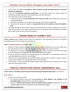- The Bill seeks to prohibit the **production, trade, transport, storage and advertisement of electronic cigarettes (e-cigarettes).**
- As per the bill, **electronic cigarettes (e-cigarettes)** is an electronic device that creates vapour for inhalation by heating a substance containing nicotine and other chemicals.
- Some important provisions of the bill are:
	- 1. Imprisonment of up to **3 years, along with a fine of up to Rs 5 lakh** will be imposed on a person for a subsequent offence.
	- 2. No person is allowed to use any place for the storage of any stock of e-cigarettes.
	- **3.** The penalty for storage of e-cigarette is **imprisonment for up to 6 months or a fine of Rs 50,000 or both.**
- <span id="page-49-0"></span> The Health Minister Dr Harsh Vardhan said that it will be difficult to ban the e-cigarette once it have a large consumer base in the country, therefore the bill is a pre-emptive strike to ban before the product gains a large consumer base and social acceptance.

### NUGEN MOBILITY SUMMIT 2019

**Current context:** NuGen Mobility Summit 2019 was organised at the International Centre for Automotive Technology Centre (ICAT) in Gurugram on 27th Nov 19.

#### **ABOUT NUGEN MOBILITY SUMMIT 2019**

- Minister of Heavy Industries & Public Enterprises Nitin Gadkari addressed the event and called upon the auto industry to focus on future technologies as skilled man-power in the auto sector.
- The objective of the Summit is to share global experiences, ideas, innovations and future technology for faster adoption and development of advanced automotive technologies.
- This event served as a platform for bringing together all stakeholders in the automotive industry to understand global advancements in technologies.
- The event aims to bring together the automotive OEMs, professionals, researchers, academic experts, vehicle system suppliers, etc. and students from all over the world.
- <span id="page-49-1"></span>• ICAT Manesar is a division of NATRIP Implementation Society (NATIS) under the Department of Heavy Industries, Government of India.

### SPECIAL PROTECTION GROUP (AMENDMENT) BILL

**Current context: Lok Sabha passed the Special Protection Group (Amendment) Bill, 2019** on 27th Nov 19.

#### **KEY POINTS**

- As per the provisions of the Bill:
	- 1. The Special Protection Group will provide **security to Prime Minister, and members of his immediate family** residing with him at his official residence.
	- 2. Security to **former prime ministers, and his immediate family members** residing with him at the residence allotted to him for a period of 5 years will also be provided.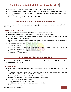- As per original Act, SPG cover solely meant for the security of the Prime Minister.
- The main **aim** of bringing the amendment is to provide a better security to protect the Prime Minister.
- The bill was introduced in the Lok Sabha by the **Minister of Home Affairs, Amit Shah**, on 25th November 2019.
- <span id="page-50-0"></span>The Bill amends the **Special Protections Group Act, 1988.**

### ALL INDIA POLICE SCIENCE CONGRESS

**Current context:** The 47th **All India Police Science Congress (AIPSC)** will begin in **Lucknow, Uttar Pradesh** from 28th Nov 19.

#### **INDIAN SCIENCE CONGRESS**

- **Puducherry Lieutenant Governor, Kiran Bedi** will inaugurate the 2-day event.
- Union Home Minister Amit Shah will be the chief guest at the valedictory function.
- The event is organised by **Uttar Pradesh Police in association with the Home Ministry and the Bureau of Police Research and Development.**
- Lucknow is organising the event for the **2nd time** and the last time Lucknow was host for AIPSC was in 1997.
- The subject of discussion at the event includes:
	- 1. Reforms in Policing
	- 2. Role of social media in countering radicalization and terrorism and Inculcating right kind of attitudes in police officers
	- 3. Resources upgradation and effective use in investigation
	- 4. Safety of women and children

### 5TH NITI AAYOG–DRC DIALOGUE

<span id="page-50-1"></span>**Current context:** The **5th Dialogue of NITI Aayog and Development Research Centre (DRC), China** was held in **Wuhan, China** on 28th Nov 19.

#### **KEY HIGHLIGHTS**

- Dr Rajiv Kumar, **Vice-Chairman of NITI Aayog** led the delegation with **Ma Jiantang**, Party Secretary of DRC.
- The Dialogue took place under the MoU between NITI Aayog and DRC signed during the visit of **Hon'ble Prime Minister of India to China in May 2015.**
- Preliminary findings of joint research in the areas of WTO reform and urbanization as per the **4th Dialogue held in Mumbai in 2018** were presented in the fifth dialogue.
- The topics included in the discussion were:
	- 1. Sino-India trade and economic cooperation
	- 2. Globalisation and macroeconomic policies in China and India
	- 3. The global economy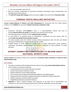- 4. Fair and reasonable trade rules etc.
- Both the countries emphasised on promoting sustainable urbanization, green transportation, and development of Smart Cities etc.
- <span id="page-51-0"></span>The **Sixth NITI Aayog–DRC Dialogue** will be convened in **India** in the second half of **November 2020.**

### YUWAAH YOUTH SKILLING INITIATIVE

**Current context: Ministry of Women and Child Development** has announced that the United Nations Children's Fund (**UNICEF**) has launched **'YuWaah' Generation Unlimited in India.**

#### **ABOUT**

- Generation Unlimited, called **YuWaah** in India, is a multi-stakeholder alliance that aims to provide **relevant skills to the youth** for productive lives and the future of work.
- The target age group of YuWaah includes **adolescent girls and boys.**
- Its key mission is to promote access to foundational, transferable and 21st century skills for youth **inside and outside formal education systems.**
- The skills provided under the YuWaah includes defining foundational skills, life skills and flexible learning and identifying and scaling impactful delivery models.
- YuWaah intends to create platforms to guide youth to market opportunities (career guidance, mentorship, internships, apprenticeships) and facilitate integration of career guidance in school education.

### <span id="page-51-1"></span>EXPERT COMMITTEE CONSTITUTED TO REVIEW DRAFT NATIONAL SPORTS CODE

**Current context:** The Ministry of Sports has constituted a **13-member expert committee to review the Draft National Sports Code.**

#### **KEY POINTS**

- The expert committee will be headed by former Supreme Court judge **Justice Mukundakam Sharma.**
- Other members in the Panel constitutes:
	- 1. A representative from the Indian Olympic Association
	- 2. Director General Sports Authority of India
	- 3. National badminton coach Pulella Gopichand
	- 4. Former sports persons Gagan Narang, Bhaichung Bhutia, Anju Bobby George
	- 5. Boxing and Kho Kho Federation president Ajay Singh and Sudhanshu Mittal respectively
	- 6. Athletics Federation president Adille Sumariwala
	- 7. Weightlifting Federation president B P Baishya
- **Objective:** To strike a balance between the autonomy of the NSFs and its accountability and transparency. Also it aims to bring the government and all the stakeholders on the same page.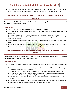<span id="page-52-0"></span> The committee will work on the comments received from the Indian Olympic Association (IOA) and other national federations related to the National Code for Good Governance in Sports, 2017.

### ABHISHEK-JYOTHI CLAIMED GOLD AT ASIAN ARCHERY C'SHIPS

**Current context: Abhishek Verma and Jyothi Surekha Vennam** claimed **gold** in compound mixed pair event at the **21st Asian Archery Championships.**

#### **HIGHLIGHTS**

- The 21st Asian Archery Championships was held in **Bangkok, Thailand.**
- The Indian team defeated Chinese Taipei opponents **Yi-Hsuan Chen and Chieh-Luh Chen** in the finales by 158-151.
- India scored one gold, two silver and four bronze medals (a total of 7 medals) in the event.
- The trio of **Abhishek Verma, Rajat Chauhan and Mohan Bhardwaj** bagged a **silver** medal in the compound team event.
- **Jyothi, Muskan Kirar and Priya Gurjar** also won the **silver** medal in the compound women's team event.
- Due to the suspension of the national federation **Archery Association of India (AAI),** the Indian archers participated as **neutral athletes** under the **World Archery flag** in the tournament.

### <span id="page-52-1"></span>RBI IMPOSED RS 1.50 CRORE PENALTY ON CORPORATION BANK

**Current context:** The Reserve Bank of India (RBI) has imposed a **monetary penalty of Rs 1.50 crore on Corporation Bank,** by an order dated 29th November 2019.

#### **KEY HIGHLIGHTS**

- The penalty has been imposed for non-compliance with certain provisions of directions issued by RBI on:
	- 1. Prudential Norms on Income Recognition, Asset Classification and Provisioning Pertaining to Advances - Divergence in NPA Accounts.
	- 2. Prudential Norms for Classification, Valuation and Operation of Investment Portfolio by Banks.
	- 3. Framework to Revitalise the Distressed Assets in the Economy Rectification and Restructuring.
	- 4. End Use of Funds Monitoring", "Discounting/Rediscounting of Bills by Banks.
	- 5. Reserve Bank of India (Frauds classification and reporting by commercial banks and select FIs) directions 2016.
- RBI has imposed the penalty in exercise of powers vested under the provisions of Section 47 A (1) (c) read with **Section 46 (4) (i) and 51 (1) of the Banking Regulation Act, 1949.**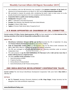- Non-compliance with the RBI directions was revealed in the **statutory inspection of the bank** with reference to its financial position as on March 31, 2017 and the **Risk Assessment Report (RAR).**
- RBI concluded to impose the penalty after considering the bank's reply to show cause as to why penalty should not be imposed on it for non-compliance with the directions.
- **Corporation Bank is a public-sector banking company.**
- **Headquarter:** Mangalore, India
- **CEO:** P. V. Bharathi (1 Feb 2019 till present)
- **Founder:** Khan Bahadur Haji Abdullah Haji Kasim Saheb Bahadur
- **Founded:** 12 March 1906, Udupi
- <span id="page-53-0"></span>**Tagline:** A Premier Public Sector Bank, Prosperity for all

### H R KHAN APPOINTED AS CHAIRMAN OF CRL COMMITTEE

**Current context: H R Khan, former deputy governor of RBI**, has been appointed as the **first chairman of the steering committee of the Code for Responsible Lending (CRL) in micro-credit.**

#### **ABOUT CRL**

- **Microfinance Institutions Network (MFIN) and Sa-Dhan** launched the CRL in September 19, along with **Finance Industry Development Council** (an association of NBFCs).
- **Code for Responsible Lending (CRL)** is a self-regulatory step for the Micro-credit institutions like NBFCs, NBFC-MFIs, SFBs etc. to follow the standard of customer protection.
- The CRL was envisaged to be supervised and guided by a steering committee under an eminent independent chair.
- The code proposes to **cap the total indebtedness of a borrower to Rs 1 lakh and bar more than 3 lenders offering loans to a single borrower.**
- The other **members of the committee** include:
	- 1. Harsh Shrivastava of MFIN
	- 2. P Satish of Sa-Dhan
	- 3. Srinivas Bonam of IndusInd Bank
	- 4. Sonia Krishnankutty of L&T Finance among others

### <span id="page-53-1"></span>2ND INDIA-BHUTAN DEVELOPMENT COOPERATION TALKS

**Current context:** The 2nd Annual India-Bhutan Development Cooperation Talks were held in **New Delhi** on 29th Nov 19.

#### **DETAILS**

 **Mr T.S. Tirumurti,** Secretary (Economic Relations) and **Mr. Kinga Singye,** Foreign Secretary led the delegation from India and Bhutan respectively.